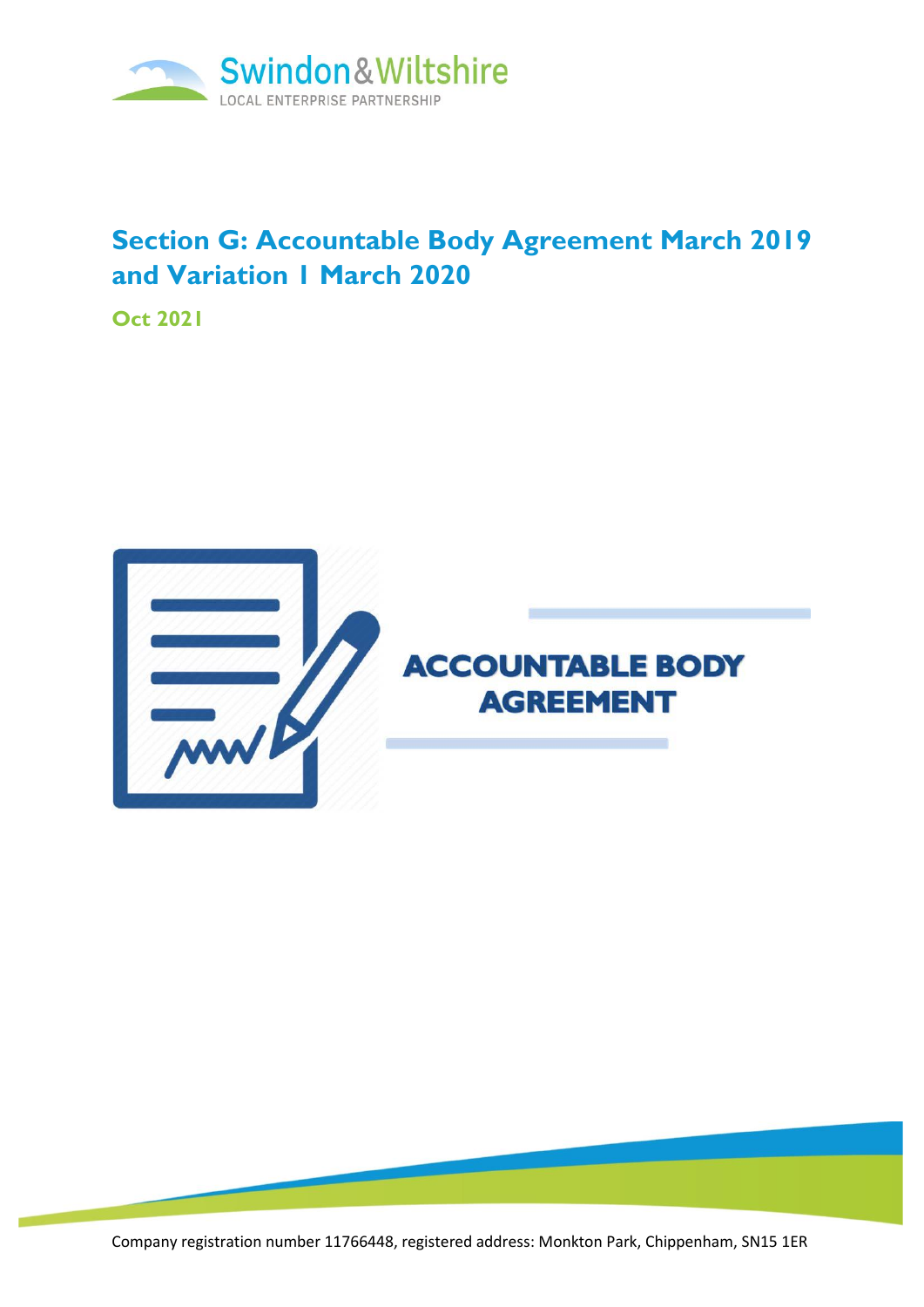

# **Section G: Accountable Body Agreement March 2019 and Variation 1 March 2020**

**Oct 2021**



Company registration number 11766448, registered address: Monkton Park, Chippenham, SN15 1ER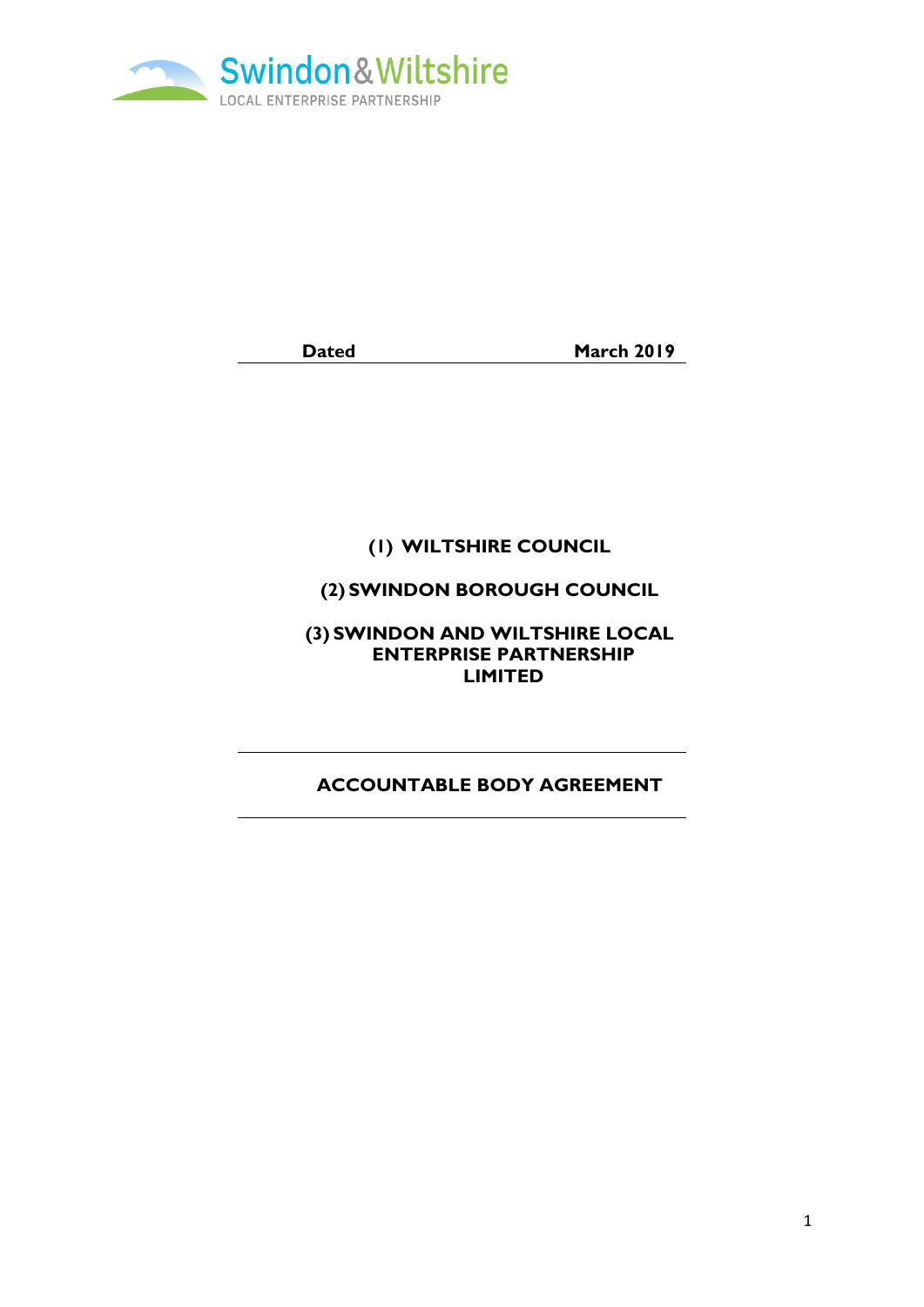

**Dated March 2019** 

# **(1) WILTSHIRE COUNCIL**

# **(2) SWINDON BOROUGH COUNCIL**

**(3) SWINDON AND WILTSHIRE LOCAL ENTERPRISE PARTNERSHIP LIMITED**

# **ACCOUNTABLE BODY AGREEMENT**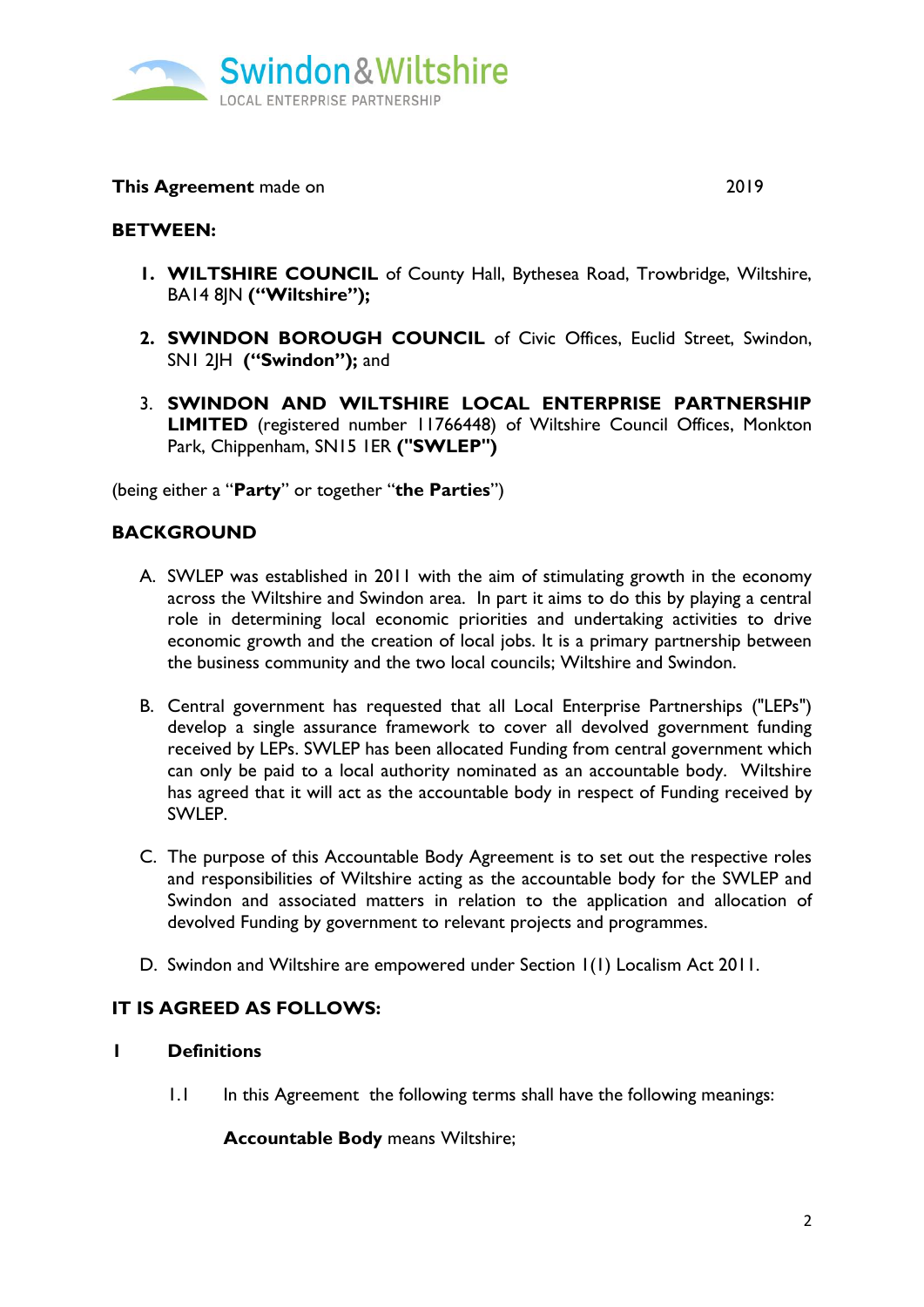

**This Agreement** made on 2019

## **BETWEEN:**

- **1. WILTSHIRE COUNCIL** of County Hall, Bythesea Road, Trowbridge, Wiltshire, BA14 8JN **("Wiltshire");**
- **2. SWINDON BOROUGH COUNCIL** of Civic Offices, Euclid Street, Swindon, SN1 2JH **("Swindon");** and
- 3. **SWINDON AND WILTSHIRE LOCAL ENTERPRISE PARTNERSHIP LIMITED** (registered number 11766448) of Wiltshire Council Offices, Monkton Park, Chippenham, SN15 1ER **("SWLEP")**

(being either a "**Party**" or together "**the Parties**")

# **BACKGROUND**

- A. SWLEP was established in 2011 with the aim of stimulating growth in the economy across the Wiltshire and Swindon area. In part it aims to do this by playing a central role in determining local economic priorities and undertaking activities to drive economic growth and the creation of local jobs. It is a primary partnership between the business community and the two local councils; Wiltshire and Swindon.
- B. Central government has requested that all Local Enterprise Partnerships ("LEPs") develop a single assurance framework to cover all devolved government funding received by LEPs. SWLEP has been allocated Funding from central government which can only be paid to a local authority nominated as an accountable body. Wiltshire has agreed that it will act as the accountable body in respect of Funding received by SWLEP.
- C. The purpose of this Accountable Body Agreement is to set out the respective roles and responsibilities of Wiltshire acting as the accountable body for the SWLEP and Swindon and associated matters in relation to the application and allocation of devolved Funding by government to relevant projects and programmes.
- D. Swindon and Wiltshire are empowered under Section 1(1) Localism Act 2011.

### **IT IS AGREED AS FOLLOWS:**

#### **1 Definitions**

1.1 In this Agreement the following terms shall have the following meanings:

**Accountable Body** means Wiltshire;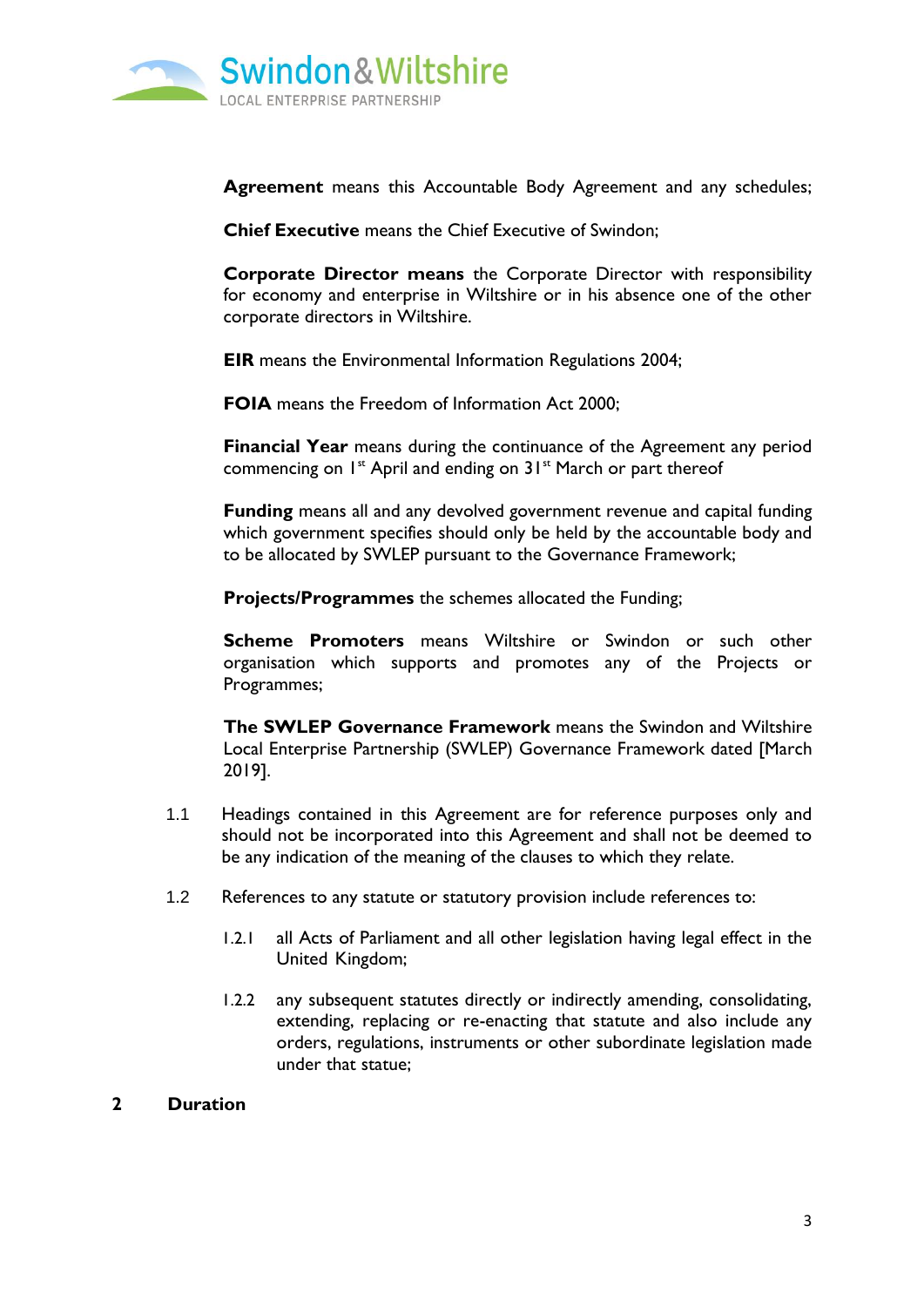

**Agreement** means this Accountable Body Agreement and any schedules;

**Chief Executive** means the Chief Executive of Swindon;

**Corporate Director means** the Corporate Director with responsibility for economy and enterprise in Wiltshire or in his absence one of the other corporate directors in Wiltshire.

**EIR** means the Environmental Information Regulations 2004;

**FOIA** means the Freedom of Information Act 2000;

**Financial Year** means during the continuance of the Agreement any period commencing on  $I^{\text{st}}$  April and ending on  $3I^{\text{st}}$  March or part thereof

**Funding** means all and any devolved government revenue and capital funding which government specifies should only be held by the accountable body and to be allocated by SWLEP pursuant to the Governance Framework;

**Projects/Programmes** the schemes allocated the Funding;

**Scheme Promoters** means Wiltshire or Swindon or such other organisation which supports and promotes any of the Projects or Programmes;

**The SWLEP Governance Framework** means the Swindon and Wiltshire Local Enterprise Partnership (SWLEP) Governance Framework dated [March 2019].

- 1.1 Headings contained in this Agreement are for reference purposes only and should not be incorporated into this Agreement and shall not be deemed to be any indication of the meaning of the clauses to which they relate.
- 1.2 References to any statute or statutory provision include references to:
	- 1.2.1 all Acts of Parliament and all other legislation having legal effect in the United Kingdom;
	- 1.2.2 any subsequent statutes directly or indirectly amending, consolidating, extending, replacing or re-enacting that statute and also include any orders, regulations, instruments or other subordinate legislation made under that statue;

#### **2 Duration**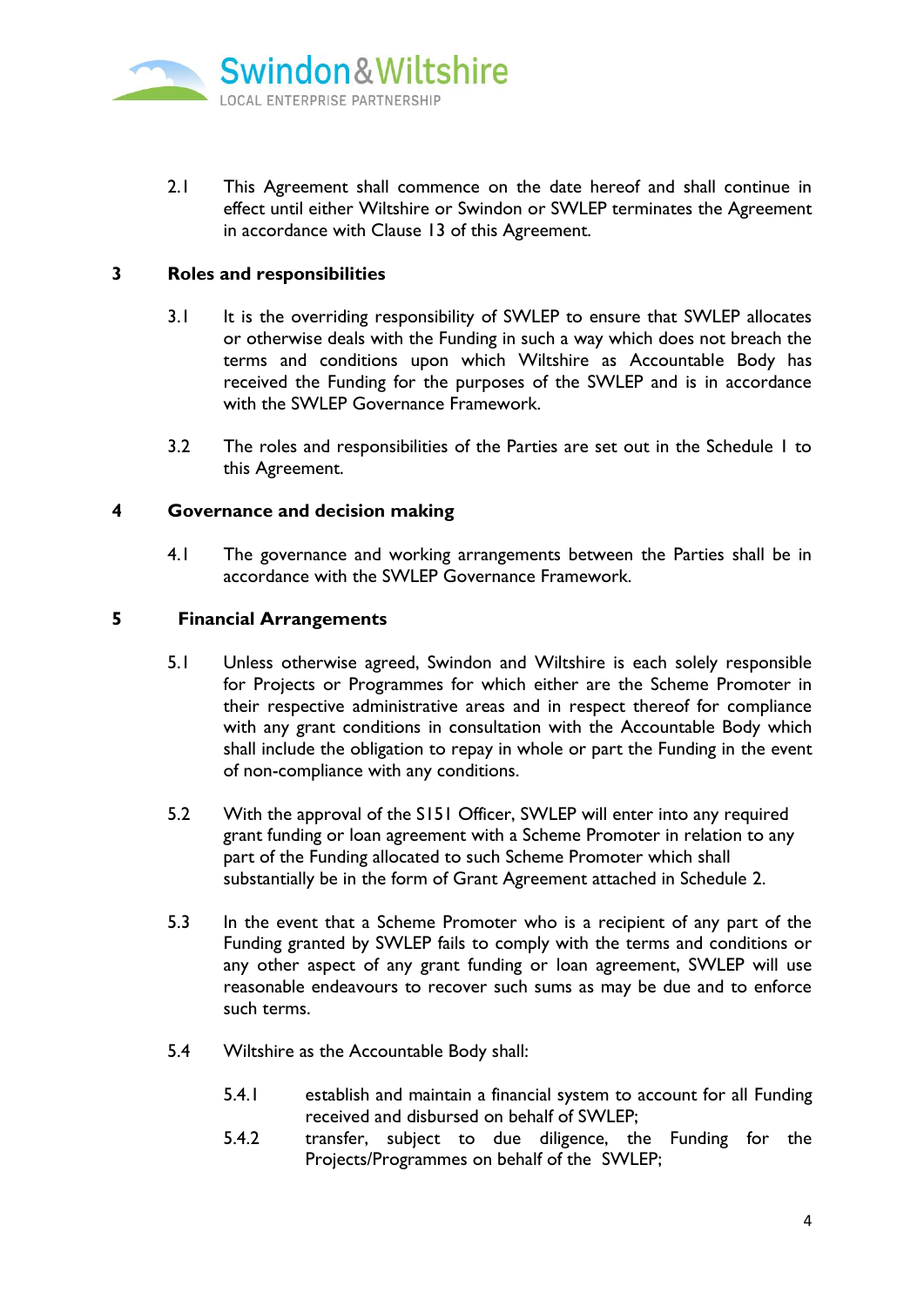

2.1 This Agreement shall commence on the date hereof and shall continue in effect until either Wiltshire or Swindon or SWLEP terminates the Agreement in accordance with Clause 13 of this Agreement.

#### **3 Roles and responsibilities**

- 3.1 It is the overriding responsibility of SWLEP to ensure that SWLEP allocates or otherwise deals with the Funding in such a way which does not breach the terms and conditions upon which Wiltshire as Accountable Body has received the Funding for the purposes of the SWLEP and is in accordance with the SWI FP Governance Framework.
- 3.2 The roles and responsibilities of the Parties are set out in the Schedule 1 to this Agreement.

#### **4 Governance and decision making**

4.1 The governance and working arrangements between the Parties shall be in accordance with the SWLEP Governance Framework.

#### **5 Financial Arrangements**

- 5.1 Unless otherwise agreed, Swindon and Wiltshire is each solely responsible for Projects or Programmes for which either are the Scheme Promoter in their respective administrative areas and in respect thereof for compliance with any grant conditions in consultation with the Accountable Body which shall include the obligation to repay in whole or part the Funding in the event of non-compliance with any conditions.
- 5.2 With the approval of the S151 Officer, SWLEP will enter into any required grant funding or loan agreement with a Scheme Promoter in relation to any part of the Funding allocated to such Scheme Promoter which shall substantially be in the form of Grant Agreement attached in Schedule 2.
- 5.3 In the event that a Scheme Promoter who is a recipient of any part of the Funding granted by SWLEP fails to comply with the terms and conditions or any other aspect of any grant funding or loan agreement, SWLEP will use reasonable endeavours to recover such sums as may be due and to enforce such terms.
- 5.4 Wiltshire as the Accountable Body shall:
	- 5.4.1 establish and maintain a financial system to account for all Funding received and disbursed on behalf of SWLEP;
	- 5.4.2 transfer, subject to due diligence, the Funding for the Projects/Programmes on behalf of the SWLEP;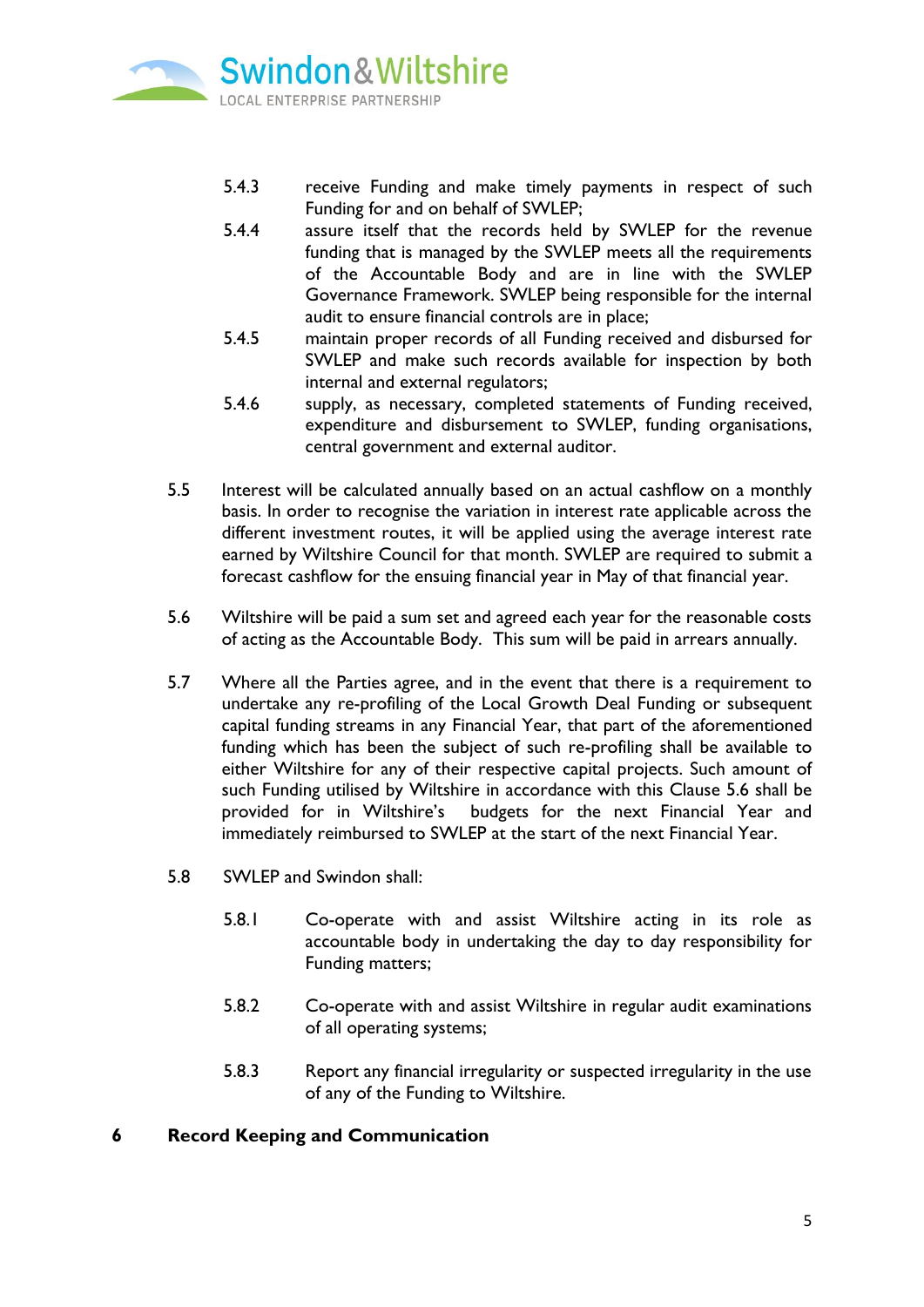

- 5.4.3 receive Funding and make timely payments in respect of such Funding for and on behalf of SWLEP;
- 5.4.4 assure itself that the records held by SWLEP for the revenue funding that is managed by the SWLEP meets all the requirements of the Accountable Body and are in line with the SWLEP Governance Framework. SWLEP being responsible for the internal audit to ensure financial controls are in place;
- 5.4.5 maintain proper records of all Funding received and disbursed for SWLEP and make such records available for inspection by both internal and external regulators;
- 5.4.6 supply, as necessary, completed statements of Funding received, expenditure and disbursement to SWLEP, funding organisations, central government and external auditor.
- 5.5 Interest will be calculated annually based on an actual cashflow on a monthly basis. In order to recognise the variation in interest rate applicable across the different investment routes, it will be applied using the average interest rate earned by Wiltshire Council for that month. SWLEP are required to submit a forecast cashflow for the ensuing financial year in May of that financial year.
- 5.6 Wiltshire will be paid a sum set and agreed each year for the reasonable costs of acting as the Accountable Body. This sum will be paid in arrears annually.
- 5.7 Where all the Parties agree, and in the event that there is a requirement to undertake any re-profiling of the Local Growth Deal Funding or subsequent capital funding streams in any Financial Year, that part of the aforementioned funding which has been the subject of such re-profiling shall be available to either Wiltshire for any of their respective capital projects. Such amount of such Funding utilised by Wiltshire in accordance with this Clause 5.6 shall be provided for in Wiltshire's budgets for the next Financial Year and immediately reimbursed to SWLEP at the start of the next Financial Year.
- 5.8 SWLEP and Swindon shall:
	- 5.8.1 Co-operate with and assist Wiltshire acting in its role as accountable body in undertaking the day to day responsibility for Funding matters;
	- 5.8.2 Co-operate with and assist Wiltshire in regular audit examinations of all operating systems;
	- 5.8.3 Report any financial irregularity or suspected irregularity in the use of any of the Funding to Wiltshire.

### **6 Record Keeping and Communication**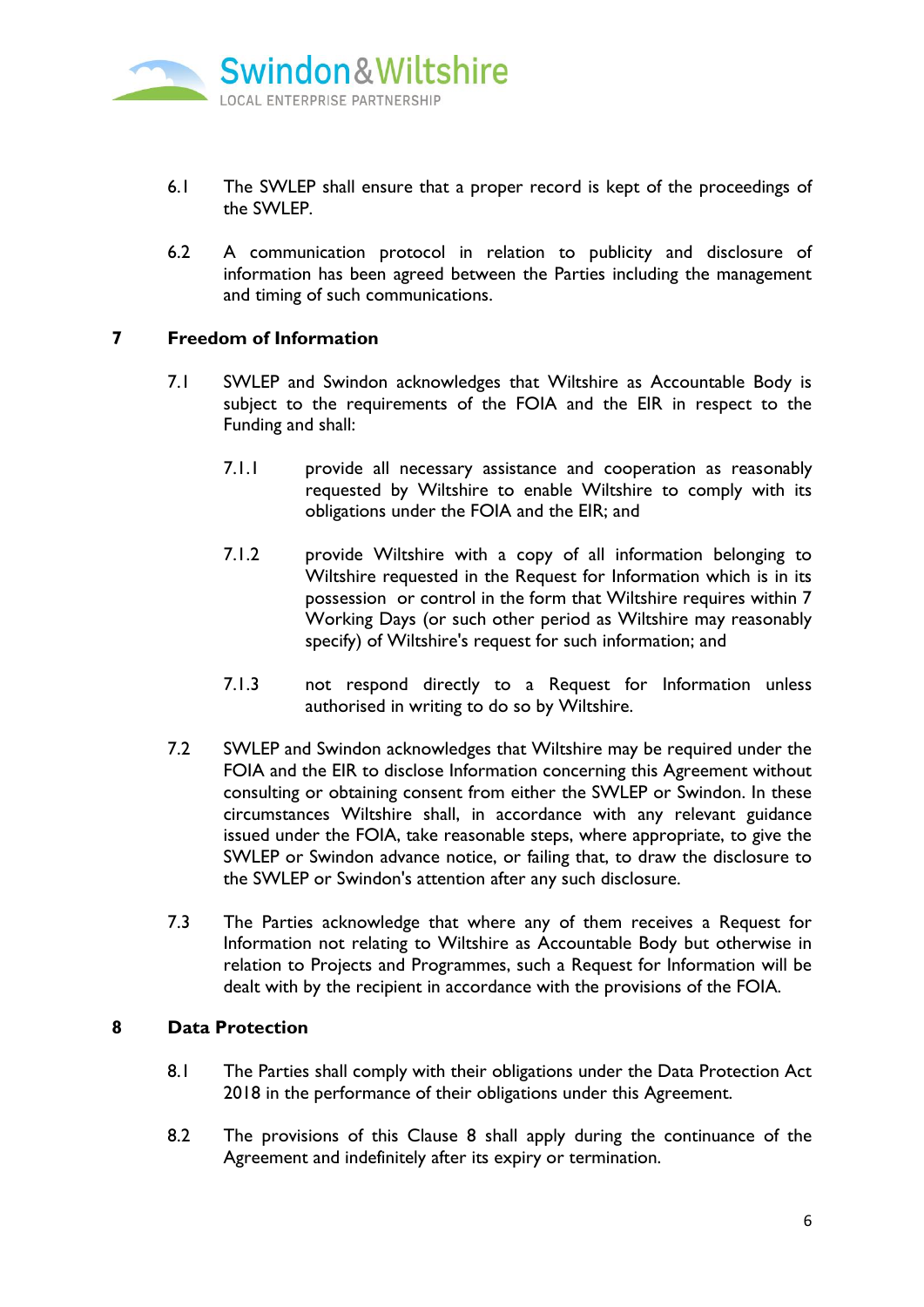

- 6.1 The SWLEP shall ensure that a proper record is kept of the proceedings of the SWLEP.
- 6.2 A communication protocol in relation to publicity and disclosure of information has been agreed between the Parties including the management and timing of such communications.

#### **7 Freedom of Information**

- 7.1 SWLEP and Swindon acknowledges that Wiltshire as Accountable Body is subject to the requirements of the FOIA and the EIR in respect to the Funding and shall:
	- 7.1.1 provide all necessary assistance and cooperation as reasonably requested by Wiltshire to enable Wiltshire to comply with its obligations under the FOIA and the EIR; and
	- 7.1.2 provide Wiltshire with a copy of all information belonging to Wiltshire requested in the Request for Information which is in its possession or control in the form that Wiltshire requires within 7 Working Days (or such other period as Wiltshire may reasonably specify) of Wiltshire's request for such information; and
	- 7.1.3 not respond directly to a Request for Information unless authorised in writing to do so by Wiltshire.
- 7.2 SWLEP and Swindon acknowledges that Wiltshire may be required under the FOIA and the EIR to disclose Information concerning this Agreement without consulting or obtaining consent from either the SWLEP or Swindon. In these circumstances Wiltshire shall, in accordance with any relevant guidance issued under the FOIA, take reasonable steps, where appropriate, to give the SWLEP or Swindon advance notice, or failing that, to draw the disclosure to the SWLEP or Swindon's attention after any such disclosure.
- 7.3 The Parties acknowledge that where any of them receives a Request for Information not relating to Wiltshire as Accountable Body but otherwise in relation to Projects and Programmes, such a Request for Information will be dealt with by the recipient in accordance with the provisions of the FOIA.

#### **8 Data Protection**

- 8.1 The Parties shall comply with their obligations under the Data Protection Act 2018 in the performance of their obligations under this Agreement.
- 8.2 The provisions of this Clause 8 shall apply during the continuance of the Agreement and indefinitely after its expiry or termination.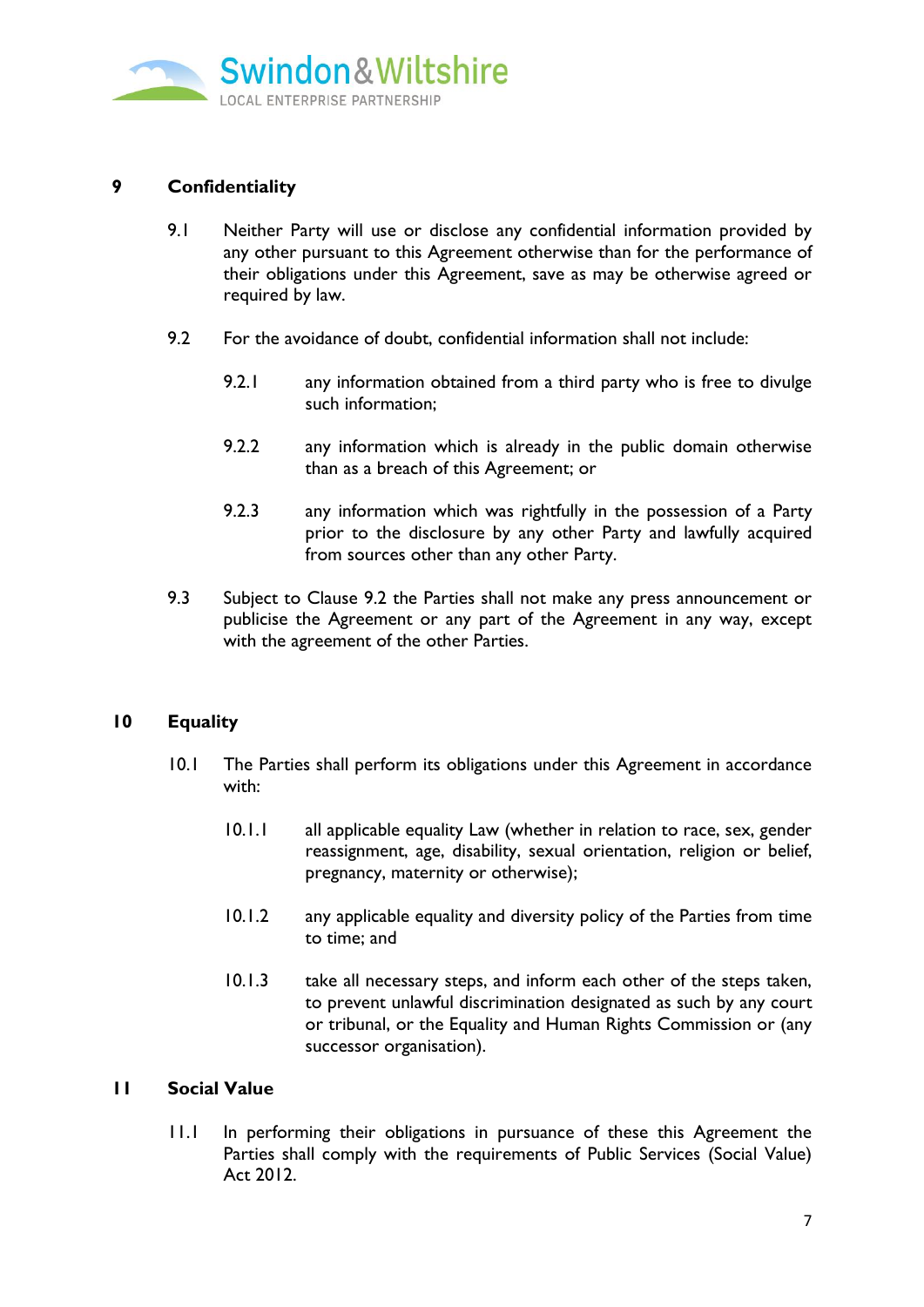

# **9 Confidentiality**

- 9.1 Neither Party will use or disclose any confidential information provided by any other pursuant to this Agreement otherwise than for the performance of their obligations under this Agreement, save as may be otherwise agreed or required by law.
- 9.2 For the avoidance of doubt, confidential information shall not include:
	- 9.2.1 any information obtained from a third party who is free to divulge such information;
	- 9.2.2 any information which is already in the public domain otherwise than as a breach of this Agreement; or
	- 9.2.3 any information which was rightfully in the possession of a Party prior to the disclosure by any other Party and lawfully acquired from sources other than any other Party.
- 9.3 Subject to Clause 9.2 the Parties shall not make any press announcement or publicise the Agreement or any part of the Agreement in any way, except with the agreement of the other Parties.

### **10 Equality**

- 10.1 The Parties shall perform its obligations under this Agreement in accordance with:
	- 10.1.1 all applicable equality Law (whether in relation to race, sex, gender reassignment, age, disability, sexual orientation, religion or belief, pregnancy, maternity or otherwise);
	- 10.1.2 any applicable equality and diversity policy of the Parties from time to time; and
	- 10.1.3 take all necessary steps, and inform each other of the steps taken, to prevent unlawful discrimination designated as such by any court or tribunal, or the Equality and Human Rights Commission or (any successor organisation).

### **11 Social Value**

11.1 In performing their obligations in pursuance of these this Agreement the Parties shall comply with the requirements of Public Services (Social Value) Act 2012.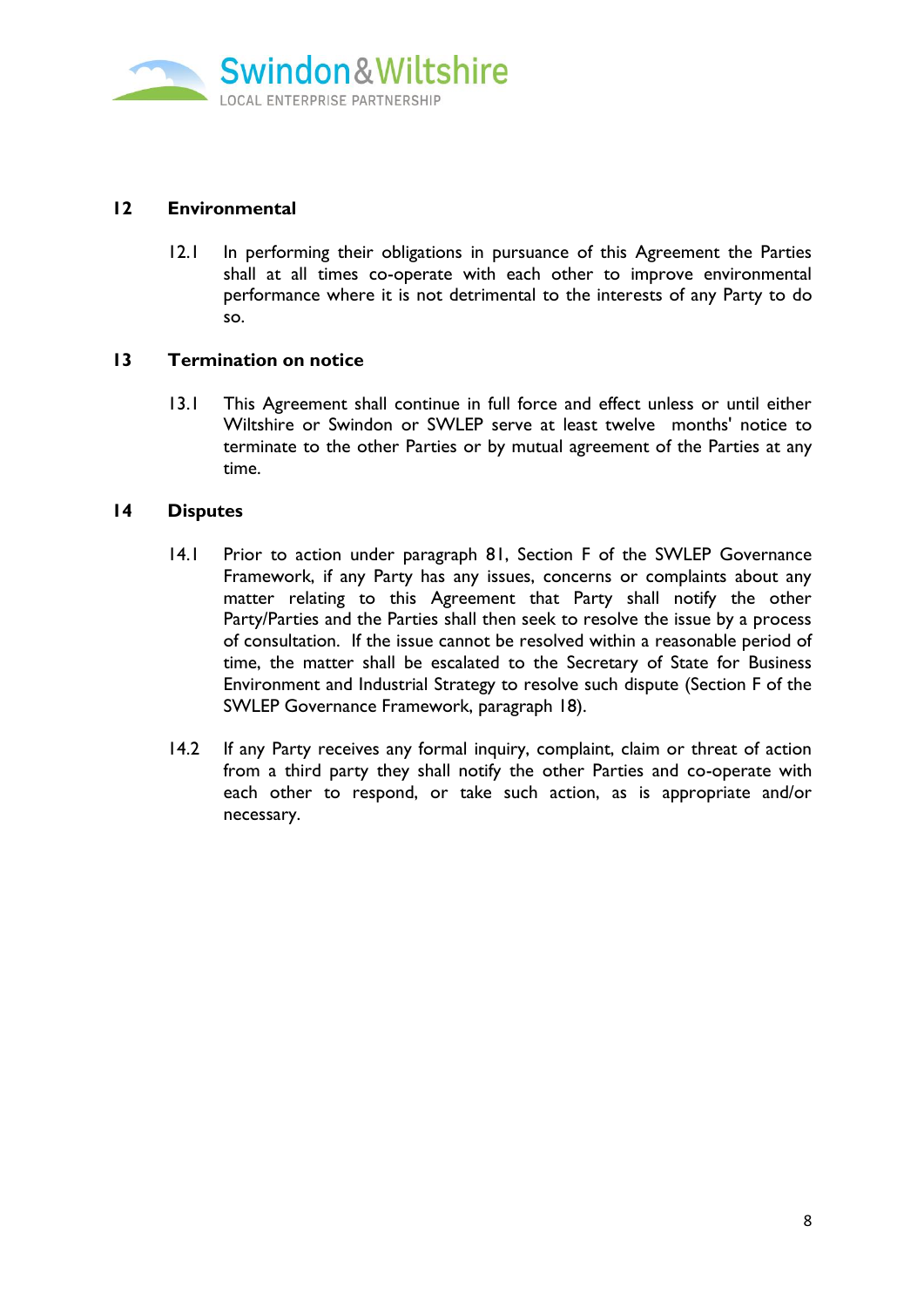

## **12 Environmental**

12.1 In performing their obligations in pursuance of this Agreement the Parties shall at all times co-operate with each other to improve environmental performance where it is not detrimental to the interests of any Party to do so.

#### **13 Termination on notice**

13.1 This Agreement shall continue in full force and effect unless or until either Wiltshire or Swindon or SWLEP serve at least twelve months' notice to terminate to the other Parties or by mutual agreement of the Parties at any time.

#### **14 Disputes**

- 14.1 Prior to action under paragraph 81, Section F of the SWLEP Governance Framework, if any Party has any issues, concerns or complaints about any matter relating to this Agreement that Party shall notify the other Party/Parties and the Parties shall then seek to resolve the issue by a process of consultation. If the issue cannot be resolved within a reasonable period of time, the matter shall be escalated to the Secretary of State for Business Environment and Industrial Strategy to resolve such dispute (Section F of the SWLEP Governance Framework, paragraph 18).
- 14.2 If any Party receives any formal inquiry, complaint, claim or threat of action from a third party they shall notify the other Parties and co-operate with each other to respond, or take such action, as is appropriate and/or necessary.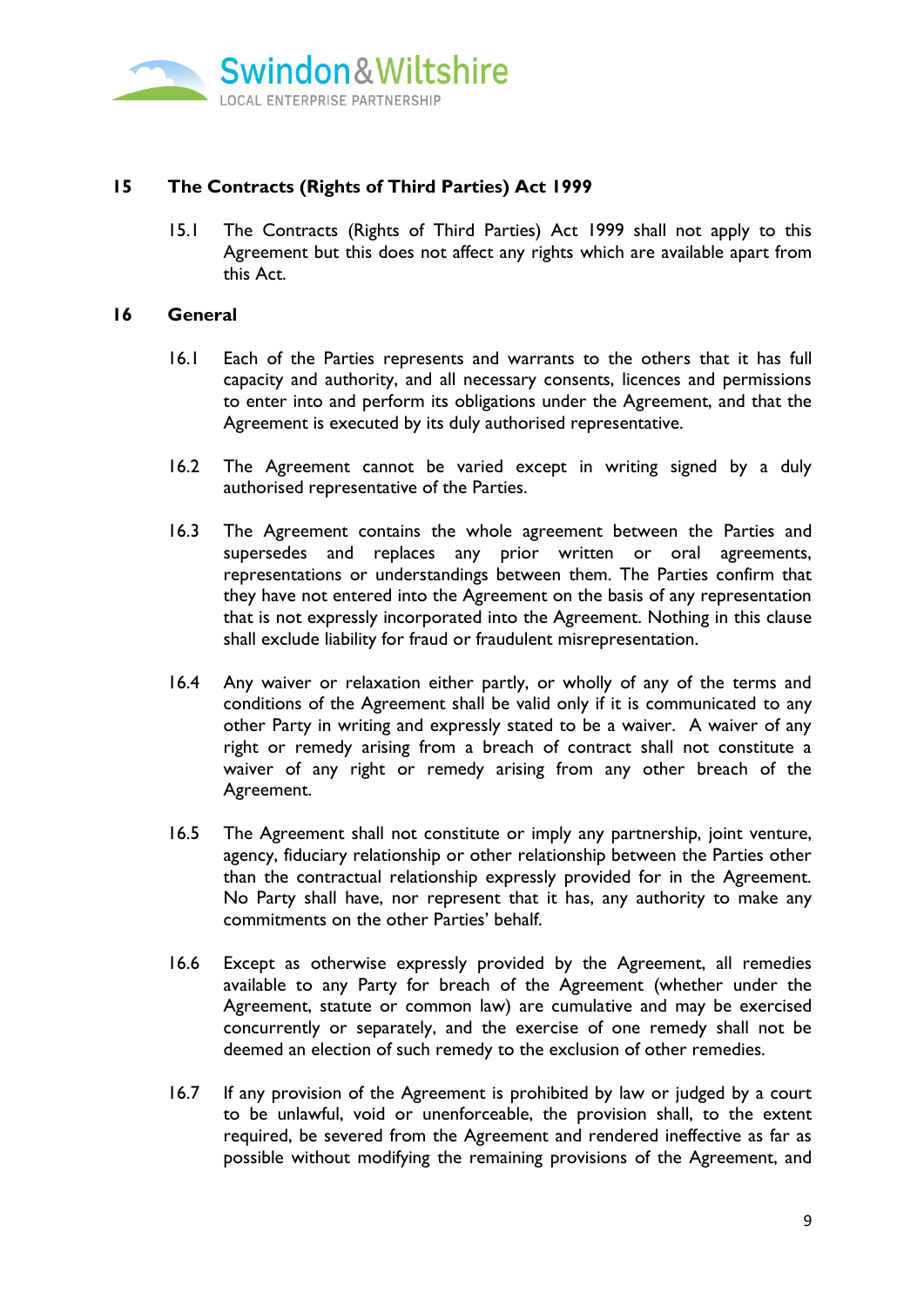

# **15 The Contracts (Rights of Third Parties) Act 1999**

15.1 The Contracts (Rights of Third Parties) Act 1999 shall not apply to this Agreement but this does not affect any rights which are available apart from this Act.

#### **16 General**

- 16.1 Each of the Parties represents and warrants to the others that it has full capacity and authority, and all necessary consents, licences and permissions to enter into and perform its obligations under the Agreement, and that the Agreement is executed by its duly authorised representative.
- 16.2 The Agreement cannot be varied except in writing signed by a duly authorised representative of the Parties.
- 16.3 The Agreement contains the whole agreement between the Parties and supersedes and replaces any prior written or oral agreements, representations or understandings between them. The Parties confirm that they have not entered into the Agreement on the basis of any representation that is not expressly incorporated into the Agreement. Nothing in this clause shall exclude liability for fraud or fraudulent misrepresentation.
- 16.4 Any waiver or relaxation either partly, or wholly of any of the terms and conditions of the Agreement shall be valid only if it is communicated to any other Party in writing and expressly stated to be a waiver. A waiver of any right or remedy arising from a breach of contract shall not constitute a waiver of any right or remedy arising from any other breach of the Agreement.
- 16.5 The Agreement shall not constitute or imply any partnership, joint venture, agency, fiduciary relationship or other relationship between the Parties other than the contractual relationship expressly provided for in the Agreement. No Party shall have, nor represent that it has, any authority to make any commitments on the other Parties' behalf.
- 16.6 Except as otherwise expressly provided by the Agreement, all remedies available to any Party for breach of the Agreement (whether under the Agreement, statute or common law) are cumulative and may be exercised concurrently or separately, and the exercise of one remedy shall not be deemed an election of such remedy to the exclusion of other remedies.
- 16.7 If any provision of the Agreement is prohibited by law or judged by a court to be unlawful, void or unenforceable, the provision shall, to the extent required, be severed from the Agreement and rendered ineffective as far as possible without modifying the remaining provisions of the Agreement, and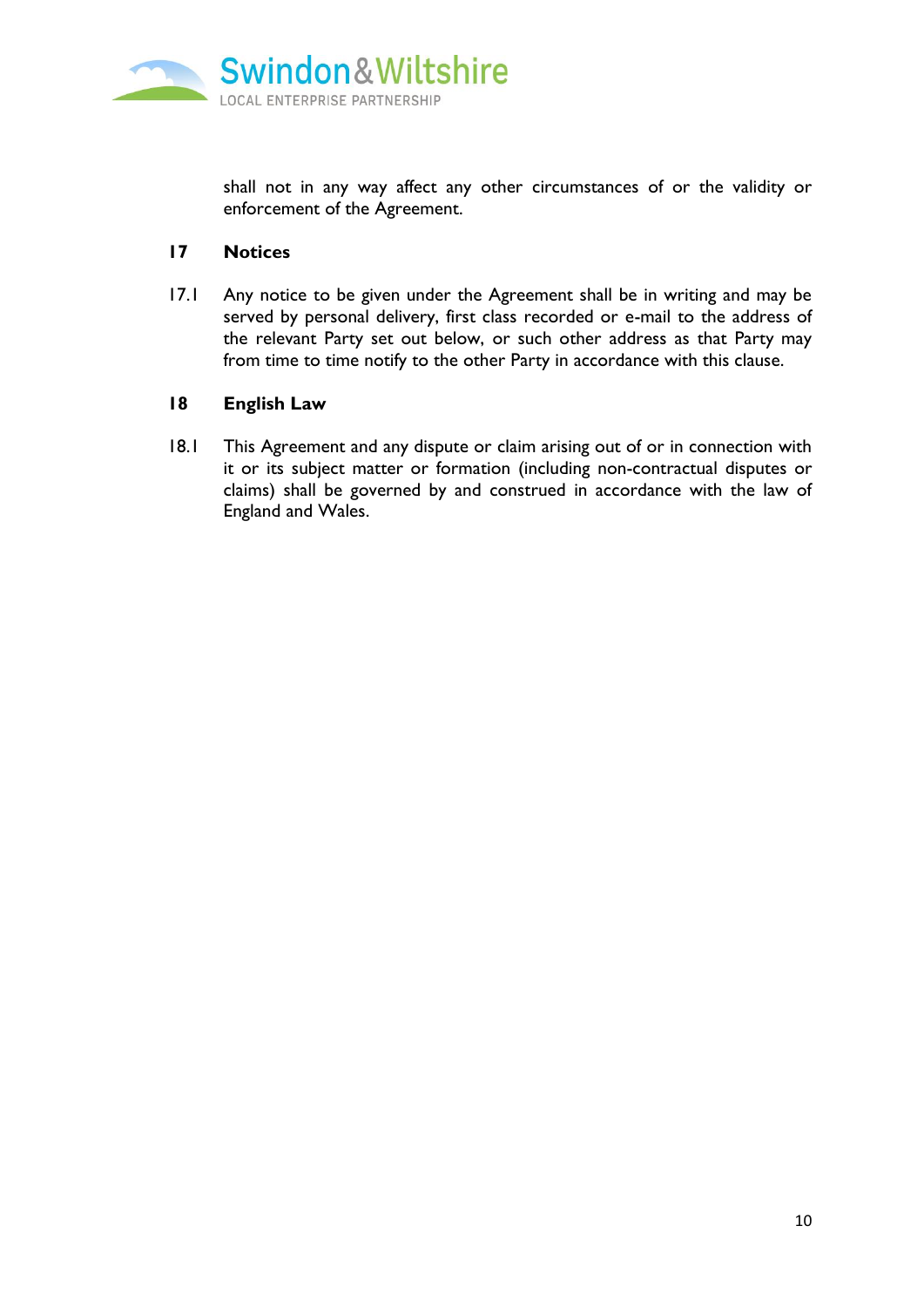

shall not in any way affect any other circumstances of or the validity or enforcement of the Agreement.

### **17 Notices**

17.1 Any notice to be given under the Agreement shall be in writing and may be served by personal delivery, first class recorded or e-mail to the address of the relevant Party set out below, or such other address as that Party may from time to time notify to the other Party in accordance with this clause.

## **18 English Law**

18.1 This Agreement and any dispute or claim arising out of or in connection with it or its subject matter or formation (including non-contractual disputes or claims) shall be governed by and construed in accordance with the law of England and Wales.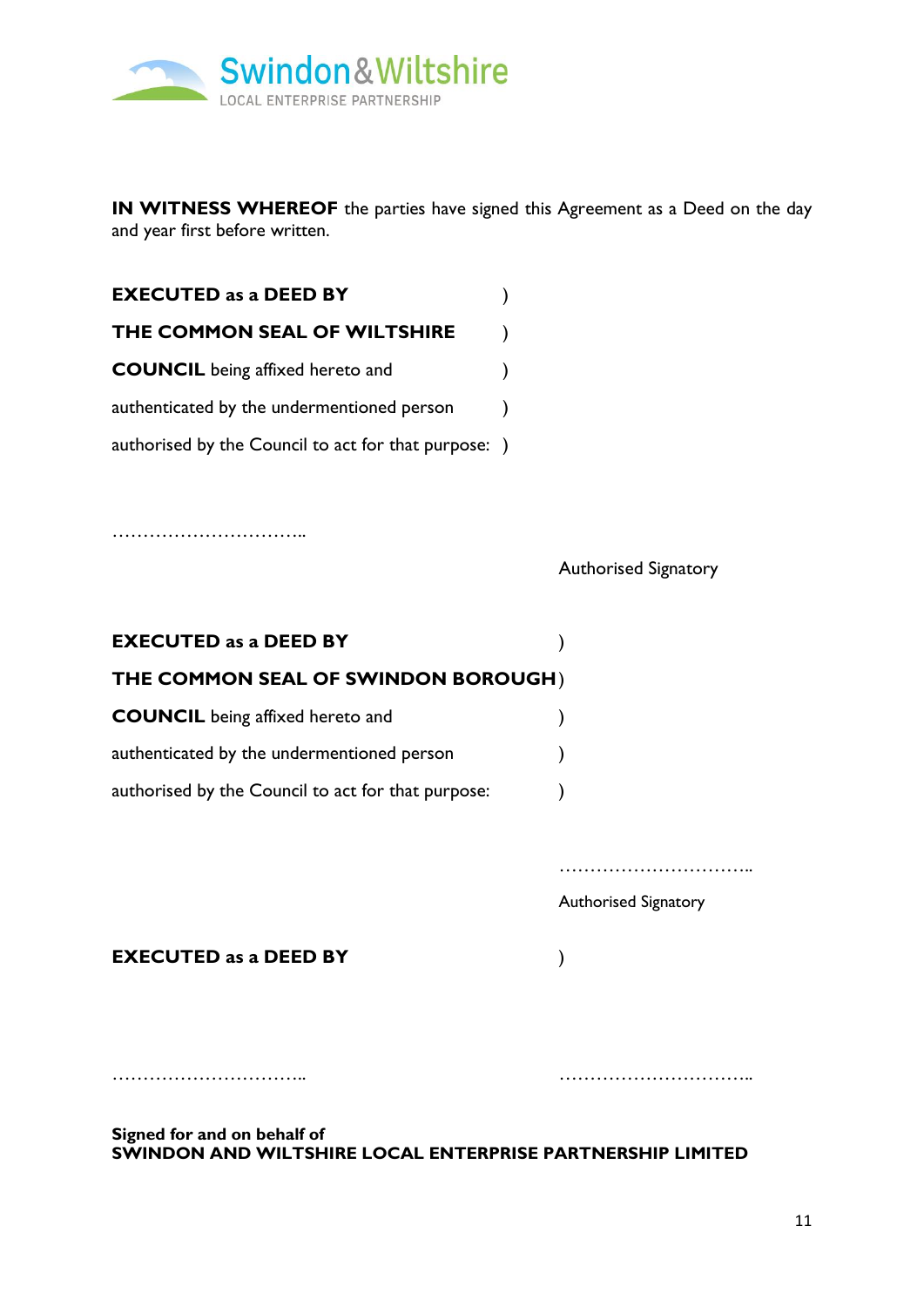

**IN WITNESS WHEREOF** the parties have signed this Agreement as a Deed on the day and year first before written.

| <b>EXECUTED as a DEED BY</b>                         |  |
|------------------------------------------------------|--|
| THE COMMON SEAL OF WILTSHIRE                         |  |
| <b>COUNCIL</b> being affixed hereto and              |  |
| authenticated by the undermentioned person           |  |
| authorised by the Council to act for that purpose: ) |  |

…………………………..

Authorised Signatory

| <b>EXECUTED as a DEED BY</b>                       |  |
|----------------------------------------------------|--|
| THE COMMON SEAL OF SWINDON BOROUGH)                |  |
| <b>COUNCIL</b> being affixed hereto and            |  |
| authenticated by the undermentioned person         |  |
| authorised by the Council to act for that purpose: |  |

Authorised Signatory

**EXECUTED as a DEED BY** )

**Signed for and on behalf of SWINDON AND WILTSHIRE LOCAL ENTERPRISE PARTNERSHIP LIMITED**

………………………….. …………………………..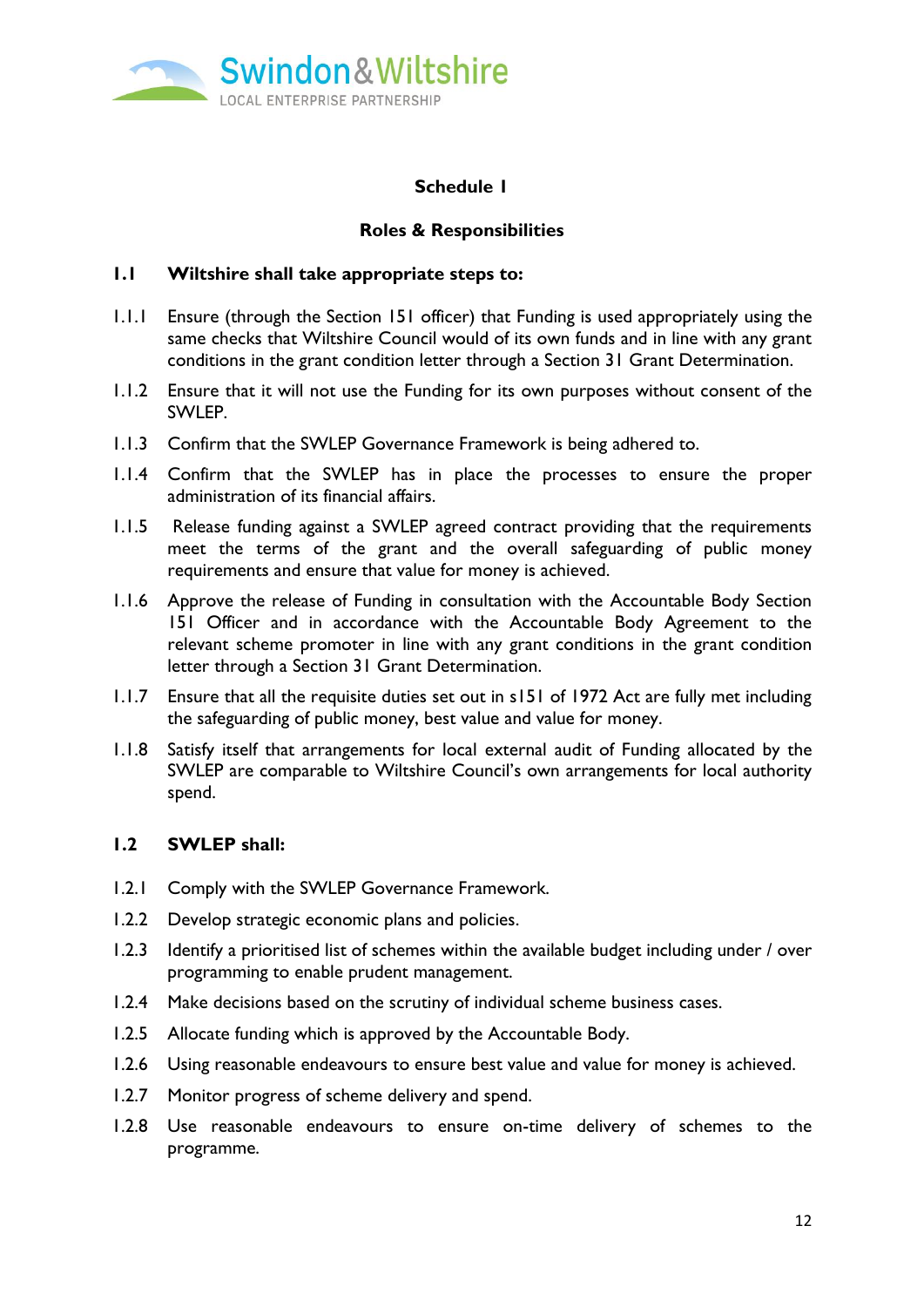

## **Schedule 1**

### **Roles & Responsibilities**

#### **1.1 Wiltshire shall take appropriate steps to:**

- 1.1.1 Ensure (through the Section 151 officer) that Funding is used appropriately using the same checks that Wiltshire Council would of its own funds and in line with any grant conditions in the grant condition letter through a Section 31 Grant Determination.
- 1.1.2 Ensure that it will not use the Funding for its own purposes without consent of the SWLEP.
- 1.1.3 Confirm that the SWLEP Governance Framework is being adhered to.
- 1.1.4 Confirm that the SWLEP has in place the processes to ensure the proper administration of its financial affairs.
- 1.1.5 Release funding against a SWLEP agreed contract providing that the requirements meet the terms of the grant and the overall safeguarding of public money requirements and ensure that value for money is achieved.
- 1.1.6 Approve the release of Funding in consultation with the Accountable Body Section 151 Officer and in accordance with the Accountable Body Agreement to the relevant scheme promoter in line with any grant conditions in the grant condition letter through a Section 31 Grant Determination.
- 1.1.7 Ensure that all the requisite duties set out in s151 of 1972 Act are fully met including the safeguarding of public money, best value and value for money.
- 1.1.8 Satisfy itself that arrangements for local external audit of Funding allocated by the SWLEP are comparable to Wiltshire Council's own arrangements for local authority spend.

## **1.2 SWLEP shall:**

- 1.2.1 Comply with the SWLEP Governance Framework.
- 1.2.2 Develop strategic economic plans and policies.
- 1.2.3 Identify a prioritised list of schemes within the available budget including under / over programming to enable prudent management.
- 1.2.4 Make decisions based on the scrutiny of individual scheme business cases.
- 1.2.5 Allocate funding which is approved by the Accountable Body.
- 1.2.6 Using reasonable endeavours to ensure best value and value for money is achieved.
- 1.2.7 Monitor progress of scheme delivery and spend.
- 1.2.8 Use reasonable endeavours to ensure on-time delivery of schemes to the programme.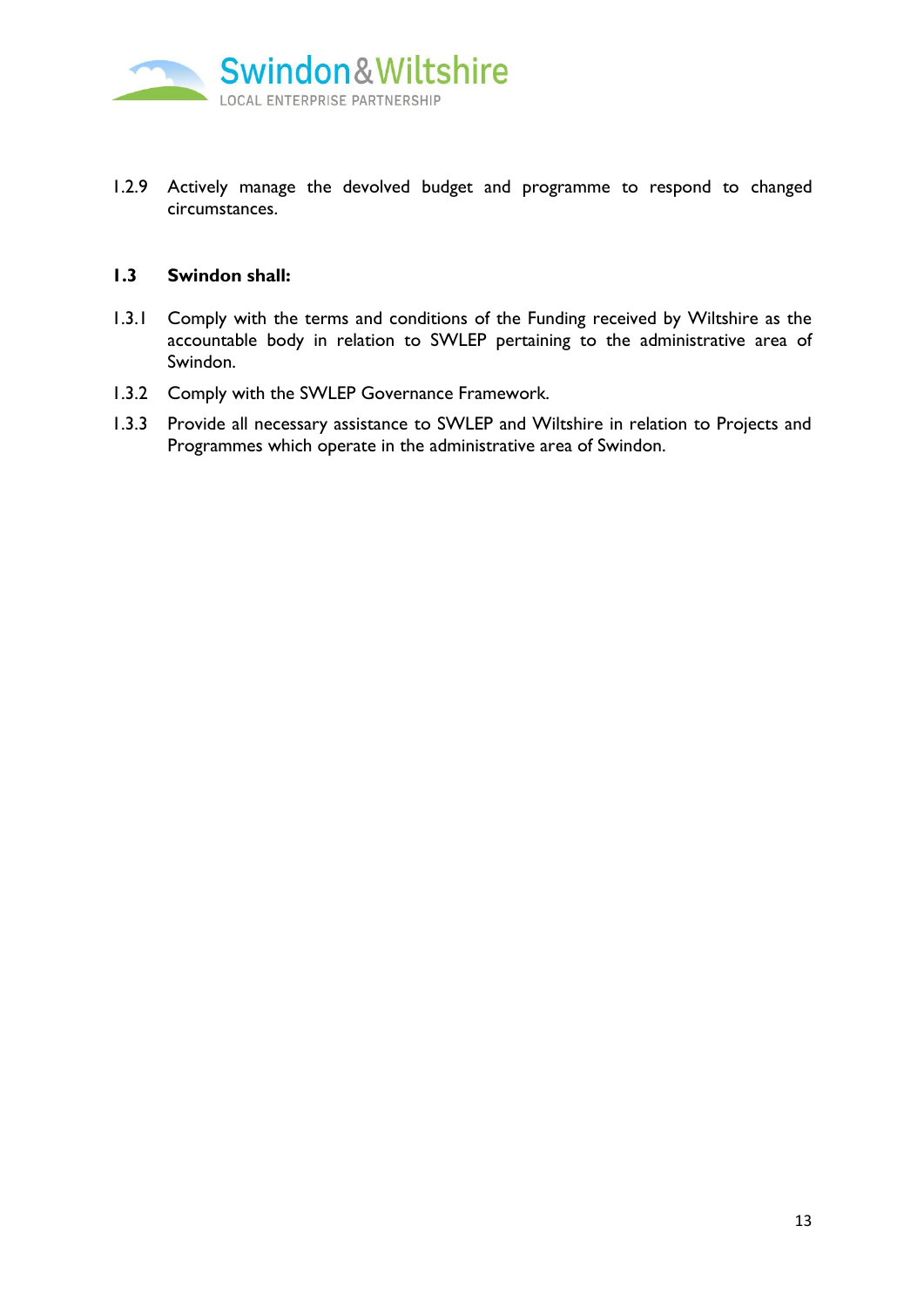

1.2.9 Actively manage the devolved budget and programme to respond to changed circumstances.

#### **1.3 Swindon shall:**

- 1.3.1 Comply with the terms and conditions of the Funding received by Wiltshire as the accountable body in relation to SWLEP pertaining to the administrative area of Swindon.
- 1.3.2 Comply with the SWLEP Governance Framework.
- 1.3.3 Provide all necessary assistance to SWLEP and Wiltshire in relation to Projects and Programmes which operate in the administrative area of Swindon.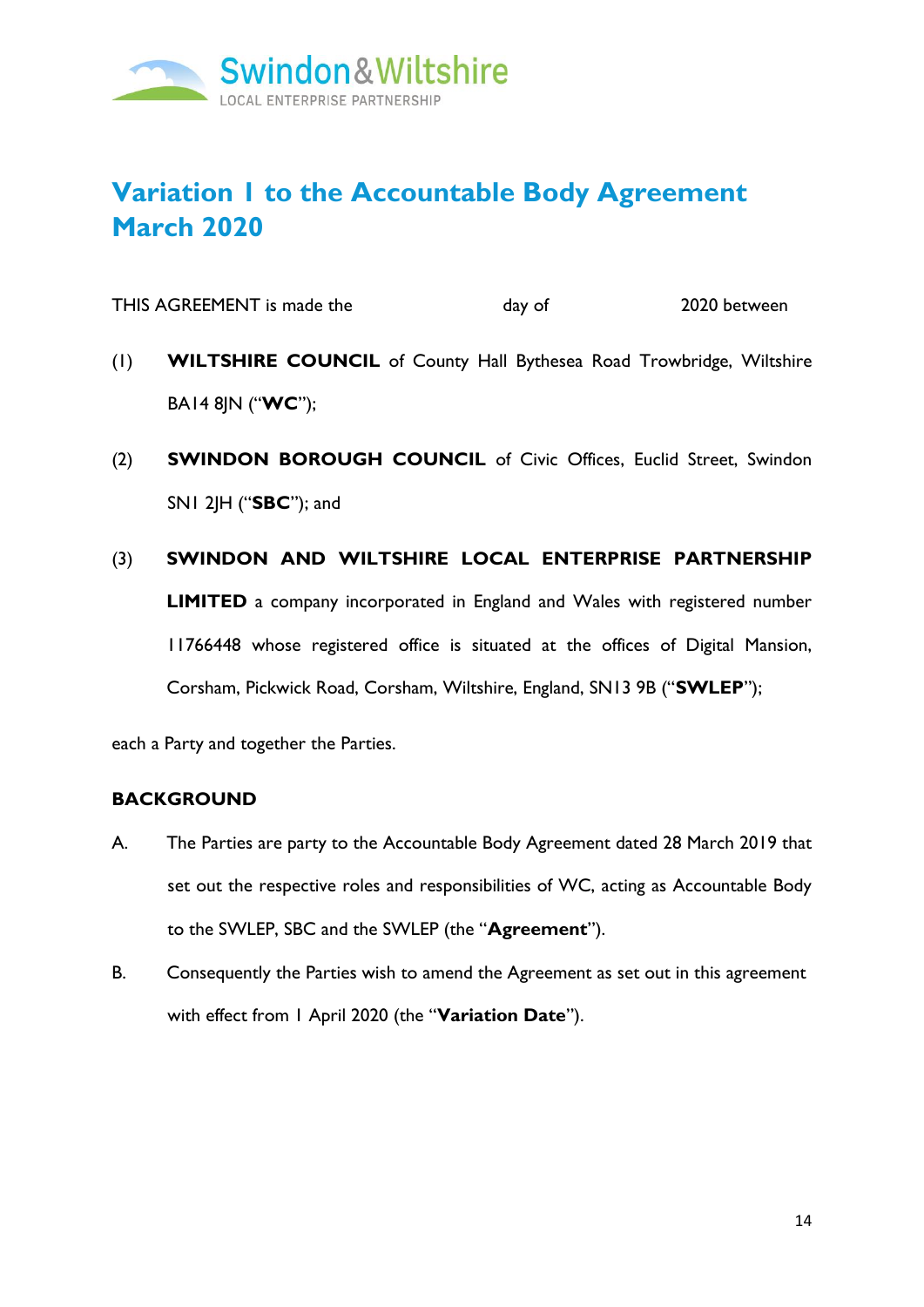

# **Variation 1 to the Accountable Body Agreement March 2020**

THIS AGREEMENT is made the day of 2020 between

- (1) **WILTSHIRE COUNCIL** of County Hall Bythesea Road Trowbridge, Wiltshire BA14 8JN ("**WC**");
- (2) **SWINDON BOROUGH COUNCIL** of Civic Offices, Euclid Street, Swindon SN1 2JH ("**SBC**"); and
- (3) **SWINDON AND WILTSHIRE LOCAL ENTERPRISE PARTNERSHIP LIMITED** a company incorporated in England and Wales with registered number 11766448 whose registered office is situated at the offices of Digital Mansion, Corsham, Pickwick Road, Corsham, Wiltshire, England, SN13 9B ("**SWLEP**");

each a Party and together the Parties.

### **BACKGROUND**

- A. The Parties are party to the Accountable Body Agreement dated 28 March 2019 that set out the respective roles and responsibilities of WC, acting as Accountable Body to the SWLEP, SBC and the SWLEP (the "**Agreement**").
- B. Consequently the Parties wish to amend the Agreement as set out in this agreement with effect from 1 April 2020 (the "**Variation Date**").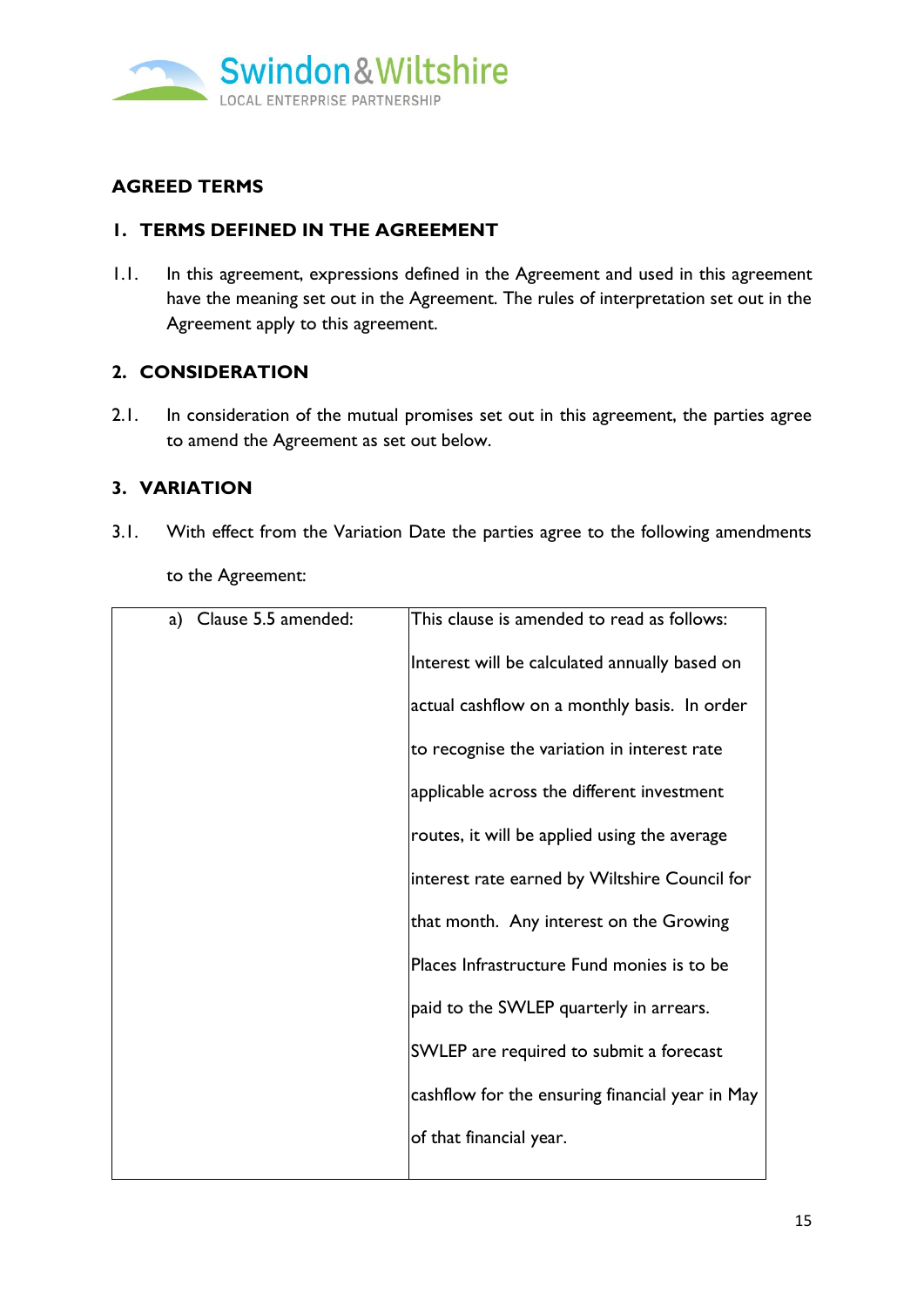

# **AGREED TERMS**

# **1. TERMS DEFINED IN THE AGREEMENT**

1.1. In this agreement, expressions defined in the Agreement and used in this agreement have the meaning set out in the Agreement. The rules of interpretation set out in the Agreement apply to this agreement.

## **2. CONSIDERATION**

2.1. In consideration of the mutual promises set out in this agreement, the parties agree to amend the Agreement as set out below.

# **3. VARIATION**

<span id="page-15-0"></span>3.1. With effect from the Variation Date the parties agree to the following amendments

| to the Agreement: |  |
|-------------------|--|
|-------------------|--|

| a) Clause 5.5 amended: | This clause is amended to read as follows:      |
|------------------------|-------------------------------------------------|
|                        | Interest will be calculated annually based on   |
|                        | actual cashflow on a monthly basis. In order    |
|                        | to recognise the variation in interest rate     |
|                        | applicable across the different investment      |
|                        | routes, it will be applied using the average    |
|                        | interest rate earned by Wiltshire Council for   |
|                        | that month. Any interest on the Growing         |
|                        | Places Infrastructure Fund monies is to be      |
|                        | paid to the SWLEP quarterly in arrears.         |
|                        | SWLEP are required to submit a forecast         |
|                        | cashflow for the ensuring financial year in May |
|                        | of that financial year.                         |
|                        |                                                 |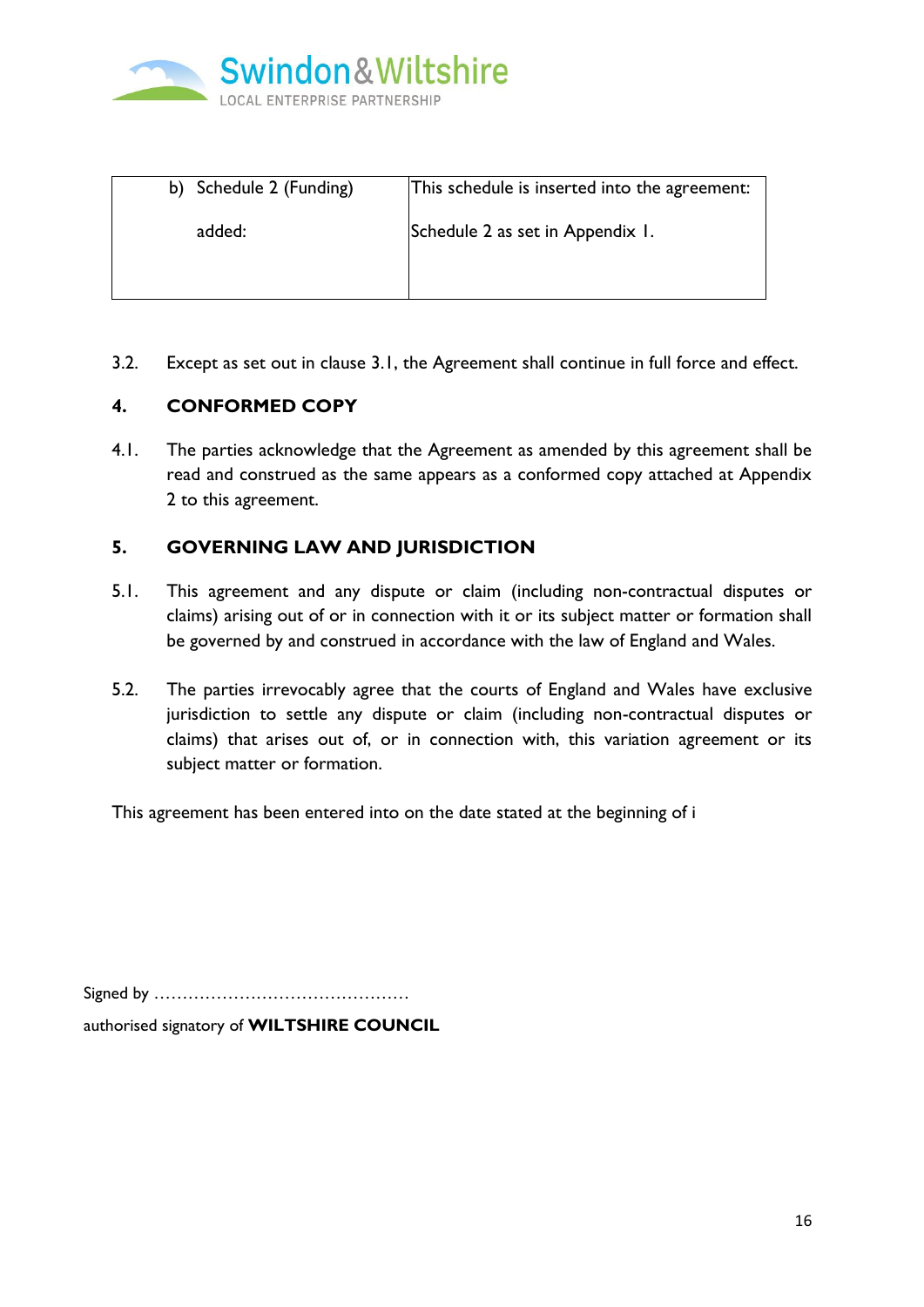

| Schedule 2 (Funding)<br>b) | This schedule is inserted into the agreement: |
|----------------------------|-----------------------------------------------|
| added:                     | Schedule 2 as set in Appendix 1.              |
|                            |                                               |
|                            |                                               |

3.2. Except as set out in clause [3.1,](#page-15-0) the Agreement shall continue in full force and effect.

# **4. CONFORMED COPY**

4.1. The parties acknowledge that the Agreement as amended by this agreement shall be read and construed as the same appears as a conformed copy attached at Appendix 2 to this agreement.

# **5. GOVERNING LAW AND JURISDICTION**

- 5.1. This agreement and any dispute or claim (including non-contractual disputes or claims) arising out of or in connection with it or its subject matter or formation shall be governed by and construed in accordance with the law of England and Wales.
- 5.2. The parties irrevocably agree that the courts of England and Wales have exclusive jurisdiction to settle any dispute or claim (including non-contractual disputes or claims) that arises out of, or in connection with, this variation agreement or its subject matter or formation.

This agreement has been entered into on the date stated at the beginning of i

Signed by ……………………………………… authorised signatory of **WILTSHIRE COUNCIL**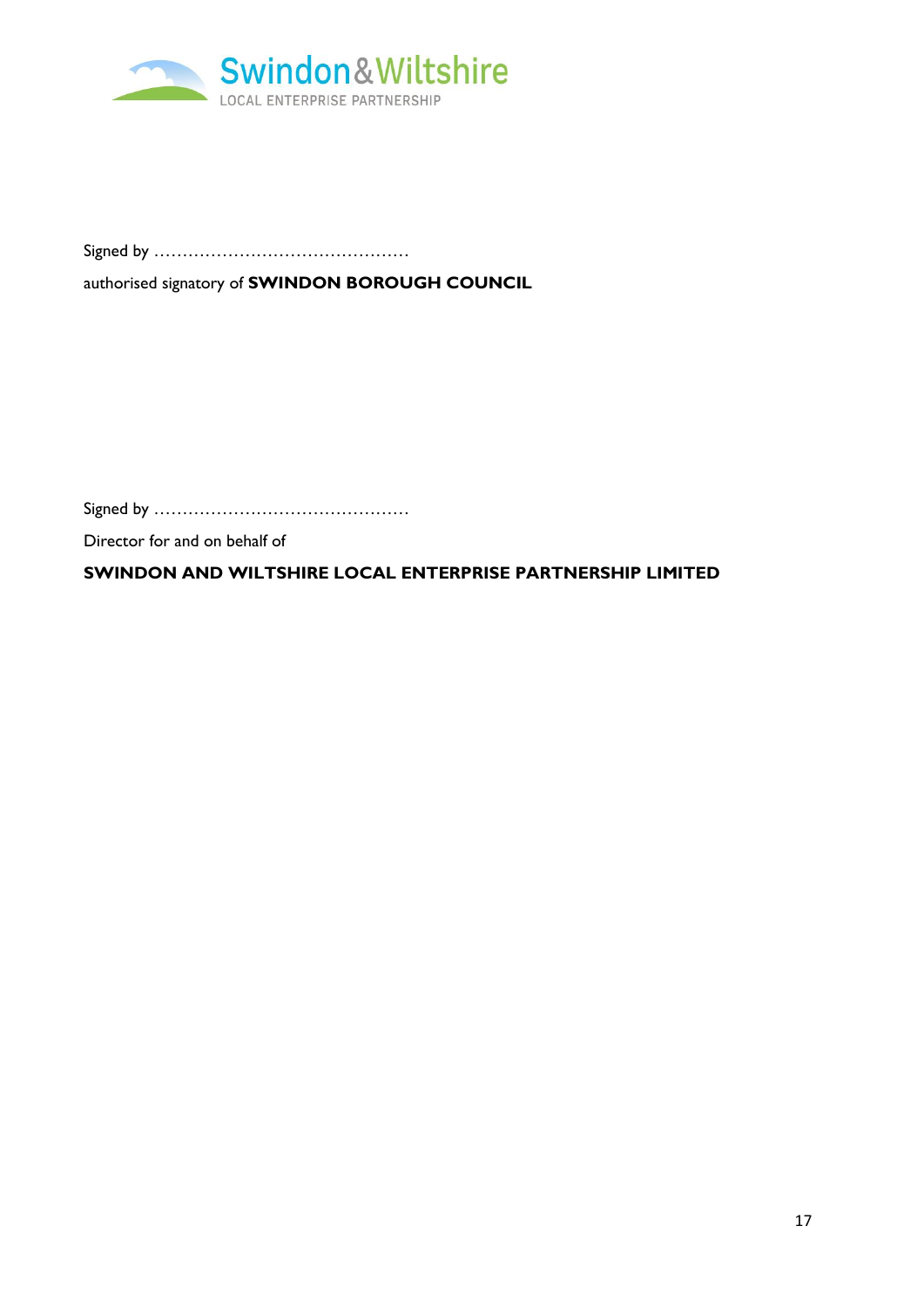

Signed by ………………………………………

authorised signatory of **SWINDON BOROUGH COUNCIL** 

Signed by ………………………………………

Director for and on behalf of

**SWINDON AND WILTSHIRE LOCAL ENTERPRISE PARTNERSHIP LIMITED**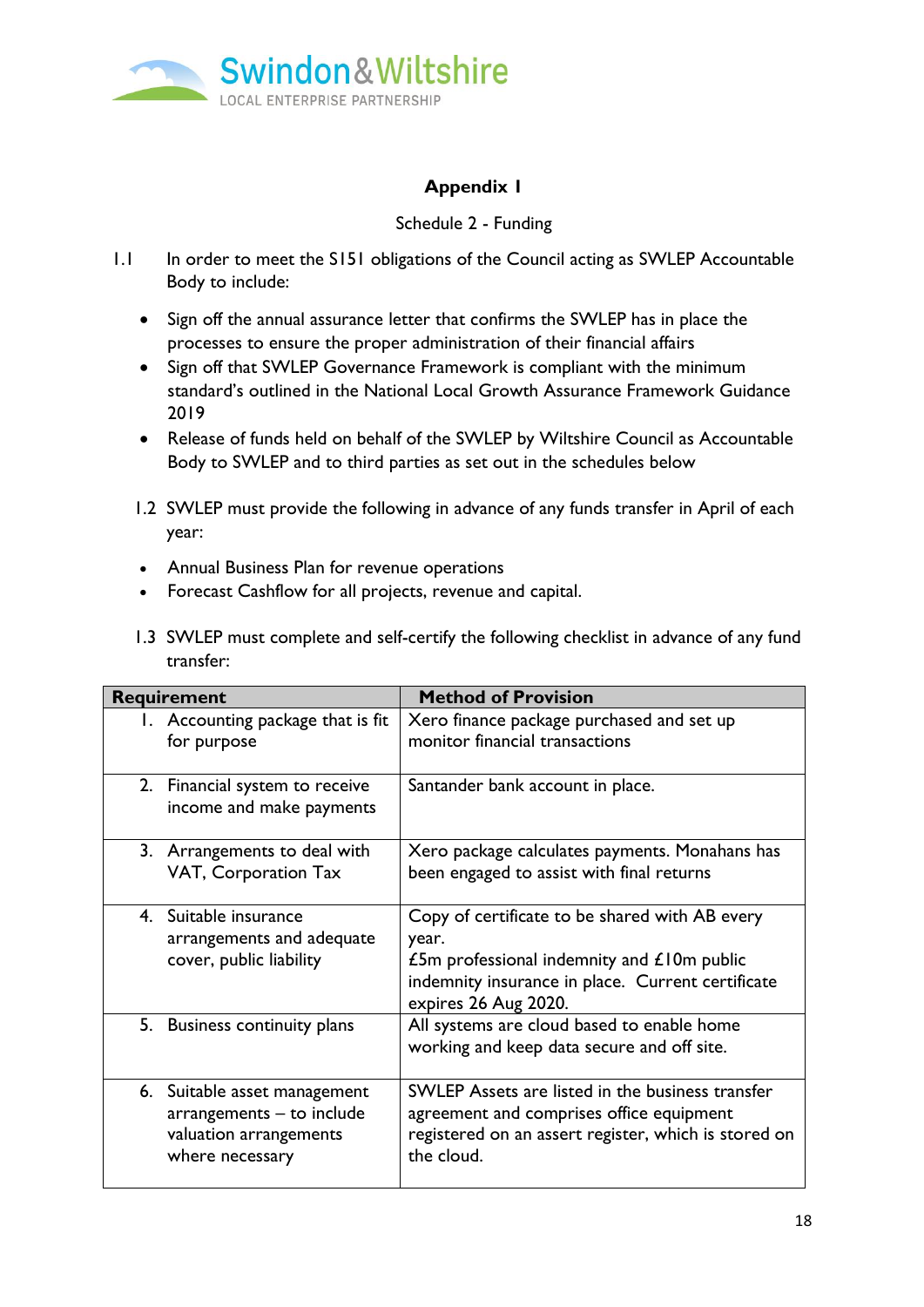

# **Appendix 1**

## Schedule 2 - Funding

- 1.1 In order to meet the S151 obligations of the Council acting as SWLEP Accountable Body to include:
	- Sign off the annual assurance letter that confirms the SWLEP has in place the processes to ensure the proper administration of their financial affairs
	- Sign off that SWLEP Governance Framework is compliant with the minimum standard's outlined in the National Local Growth Assurance Framework Guidance 2019
	- Release of funds held on behalf of the SWLEP by Wiltshire Council as Accountable Body to SWLEP and to third parties as set out in the schedules below
	- 1.2 SWLEP must provide the following in advance of any funds transfer in April of each year:
	- Annual Business Plan for revenue operations
	- Forecast Cashflow for all projects, revenue and capital.
	- 1.3 SWLEP must complete and self-certify the following checklist in advance of any fund transfer:

| Requirement                                                                                            | <b>Method of Provision</b>                                                                                                                                                           |
|--------------------------------------------------------------------------------------------------------|--------------------------------------------------------------------------------------------------------------------------------------------------------------------------------------|
| 1. Accounting package that is fit<br>for purpose                                                       | Xero finance package purchased and set up<br>monitor financial transactions                                                                                                          |
| 2. Financial system to receive<br>income and make payments                                             | Santander bank account in place.                                                                                                                                                     |
| 3. Arrangements to deal with<br>VAT, Corporation Tax                                                   | Xero package calculates payments. Monahans has<br>been engaged to assist with final returns                                                                                          |
| 4. Suitable insurance<br>arrangements and adequate<br>cover, public liability                          | Copy of certificate to be shared with AB every<br>year.<br>£5m professional indemnity and $£10m$ public<br>indemnity insurance in place. Current certificate<br>expires 26 Aug 2020. |
| 5. Business continuity plans                                                                           | All systems are cloud based to enable home<br>working and keep data secure and off site.                                                                                             |
| 6. Suitable asset management<br>arrangements - to include<br>valuation arrangements<br>where necessary | SWLEP Assets are listed in the business transfer<br>agreement and comprises office equipment<br>registered on an assert register, which is stored on<br>the cloud.                   |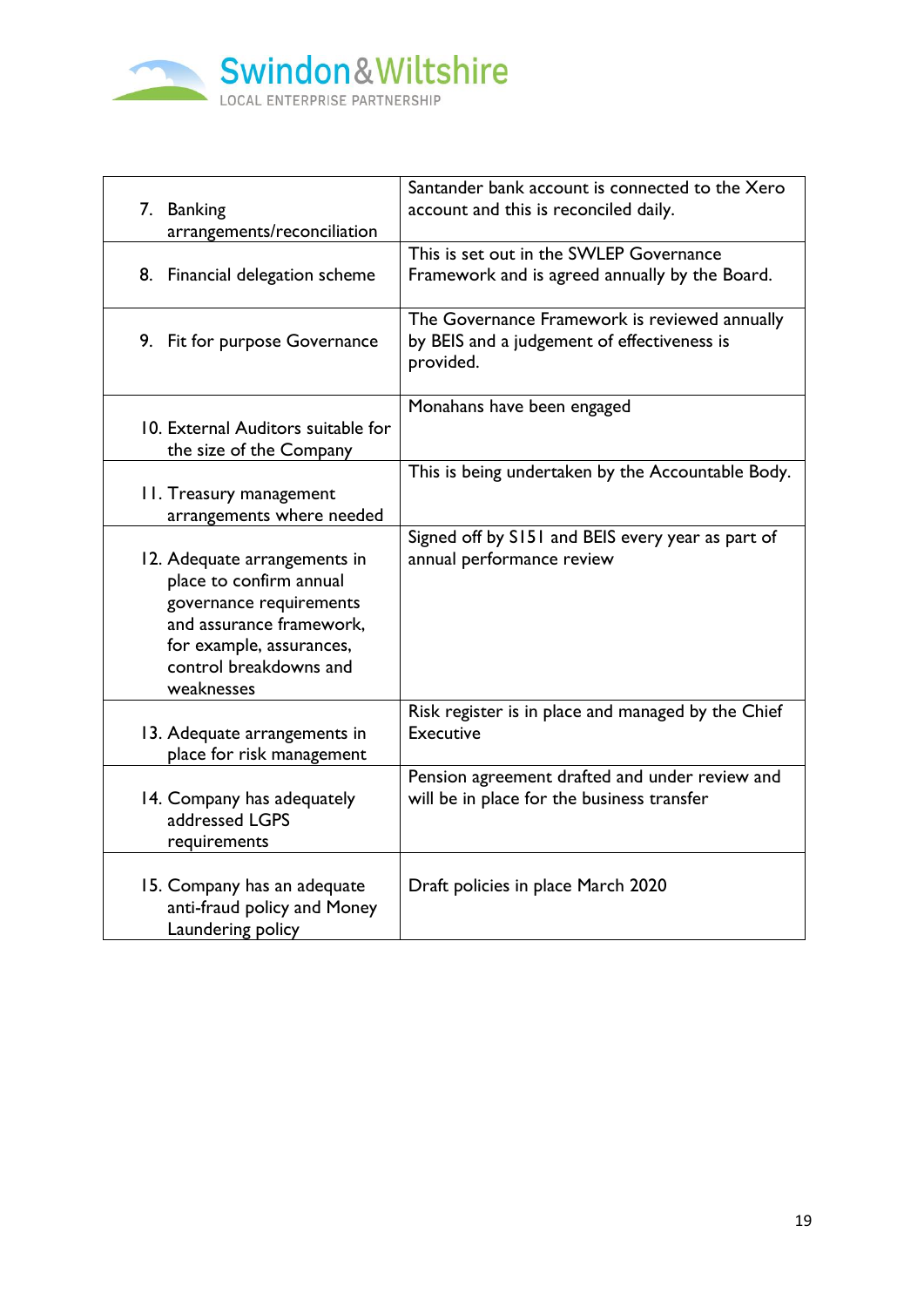

| 7. Banking<br>arrangements/reconciliation                                                                                                                                          | Santander bank account is connected to the Xero<br>account and this is reconciled daily.                  |
|------------------------------------------------------------------------------------------------------------------------------------------------------------------------------------|-----------------------------------------------------------------------------------------------------------|
| 8. Financial delegation scheme                                                                                                                                                     | This is set out in the SWLEP Governance<br>Framework and is agreed annually by the Board.                 |
| 9. Fit for purpose Governance                                                                                                                                                      | The Governance Framework is reviewed annually<br>by BEIS and a judgement of effectiveness is<br>provided. |
| 10. External Auditors suitable for<br>the size of the Company                                                                                                                      | Monahans have been engaged                                                                                |
| <b>II. Treasury management</b><br>arrangements where needed                                                                                                                        | This is being undertaken by the Accountable Body.                                                         |
| 12. Adequate arrangements in<br>place to confirm annual<br>governance requirements<br>and assurance framework,<br>for example, assurances,<br>control breakdowns and<br>weaknesses | Signed off by S151 and BEIS every year as part of<br>annual performance review                            |
| 13. Adequate arrangements in<br>place for risk management                                                                                                                          | Risk register is in place and managed by the Chief<br><b>Executive</b>                                    |
| 14. Company has adequately<br>addressed LGPS<br>requirements                                                                                                                       | Pension agreement drafted and under review and<br>will be in place for the business transfer              |
| 15. Company has an adequate<br>anti-fraud policy and Money<br>Laundering policy                                                                                                    | Draft policies in place March 2020                                                                        |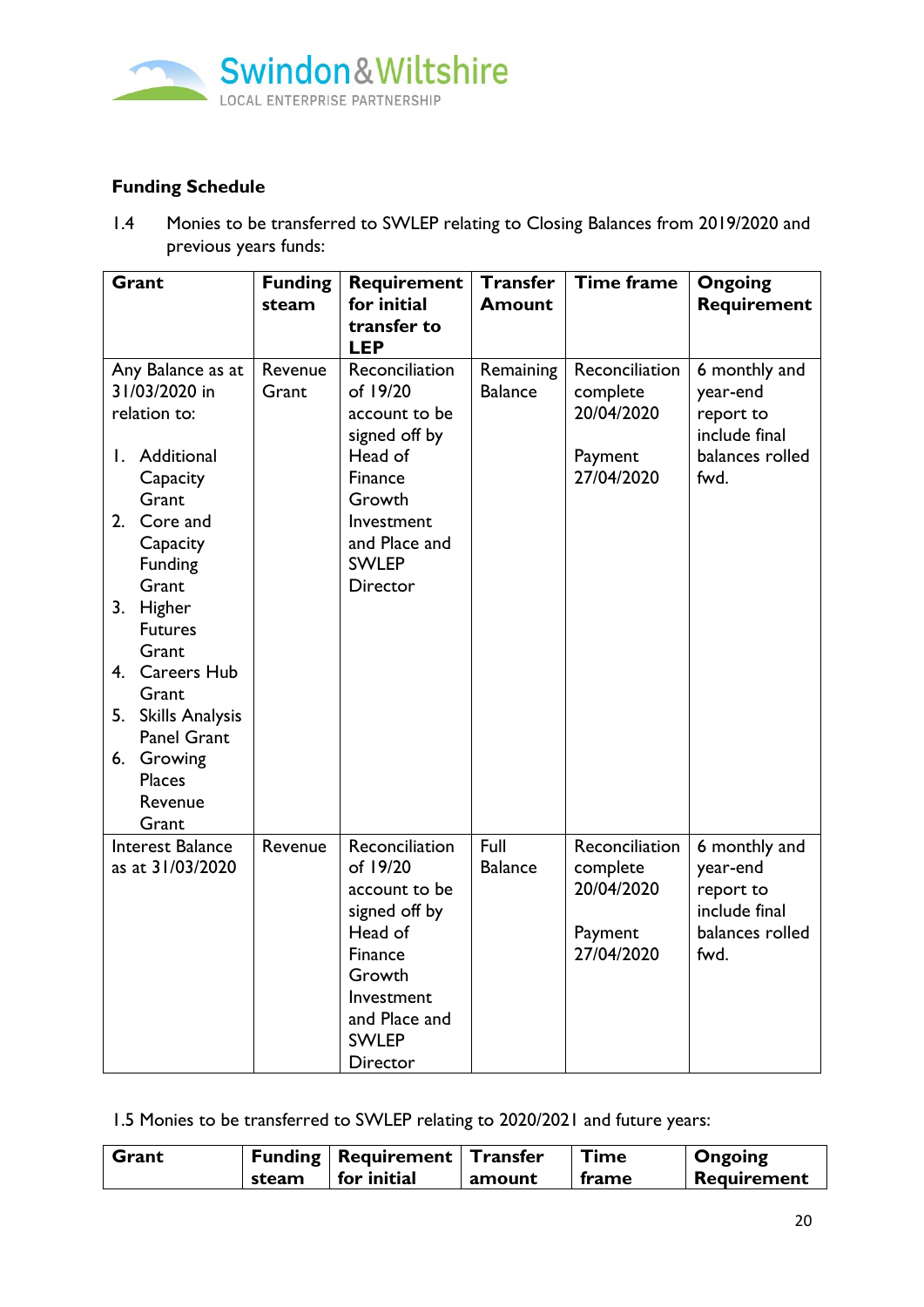

# **Funding Schedule**

1.4 Monies to be transferred to SWLEP relating to Closing Balances from 2019/2020 and previous years funds:

| Grant                                                                                                                                                                                                                                                                                                        | <b>Funding</b><br>steam | Requirement<br>for initial<br>transfer to<br><b>LEP</b>                                                                                                        | <b>Transfer</b><br><b>Amount</b> | <b>Time frame</b>                                                 | <b>Ongoing</b><br>Requirement                                                      |
|--------------------------------------------------------------------------------------------------------------------------------------------------------------------------------------------------------------------------------------------------------------------------------------------------------------|-------------------------|----------------------------------------------------------------------------------------------------------------------------------------------------------------|----------------------------------|-------------------------------------------------------------------|------------------------------------------------------------------------------------|
| Any Balance as at<br>31/03/2020 in<br>relation to:<br>Additional<br>Ι.<br>Capacity<br>Grant<br>2. Core and<br>Capacity<br>Funding<br>Grant<br>3. Higher<br><b>Futures</b><br>Grant<br>4. Careers Hub<br>Grant<br>5. Skills Analysis<br><b>Panel Grant</b><br>6. Growing<br><b>Places</b><br>Revenue<br>Grant | Revenue<br>Grant        | Reconciliation<br>of 19/20<br>account to be<br>signed off by<br>Head of<br>Finance<br>Growth<br>Investment<br>and Place and<br><b>SWLEP</b><br><b>Director</b> | Remaining<br><b>Balance</b>      | Reconciliation<br>complete<br>20/04/2020<br>Payment<br>27/04/2020 | 6 monthly and<br>year-end<br>report to<br>include final<br>balances rolled<br>fwd. |
| Interest Balance<br>as at 31/03/2020                                                                                                                                                                                                                                                                         | Revenue                 | Reconciliation<br>of 19/20<br>account to be<br>signed off by<br>Head of<br>Finance<br>Growth<br>Investment<br>and Place and<br><b>SWLEP</b><br>Director        | Full<br><b>Balance</b>           | Reconciliation<br>complete<br>20/04/2020<br>Payment<br>27/04/2020 | 6 monthly and<br>year-end<br>report to<br>include final<br>balances rolled<br>fwd. |

1.5 Monies to be transferred to SWLEP relating to 2020/2021 and future years:

| Grant |       | <b>Funding   Requirement   Transfer</b> |        | Time  | <b>Ongoing</b> |
|-------|-------|-----------------------------------------|--------|-------|----------------|
|       | steam | for initial                             | amount | frame | Requirement    |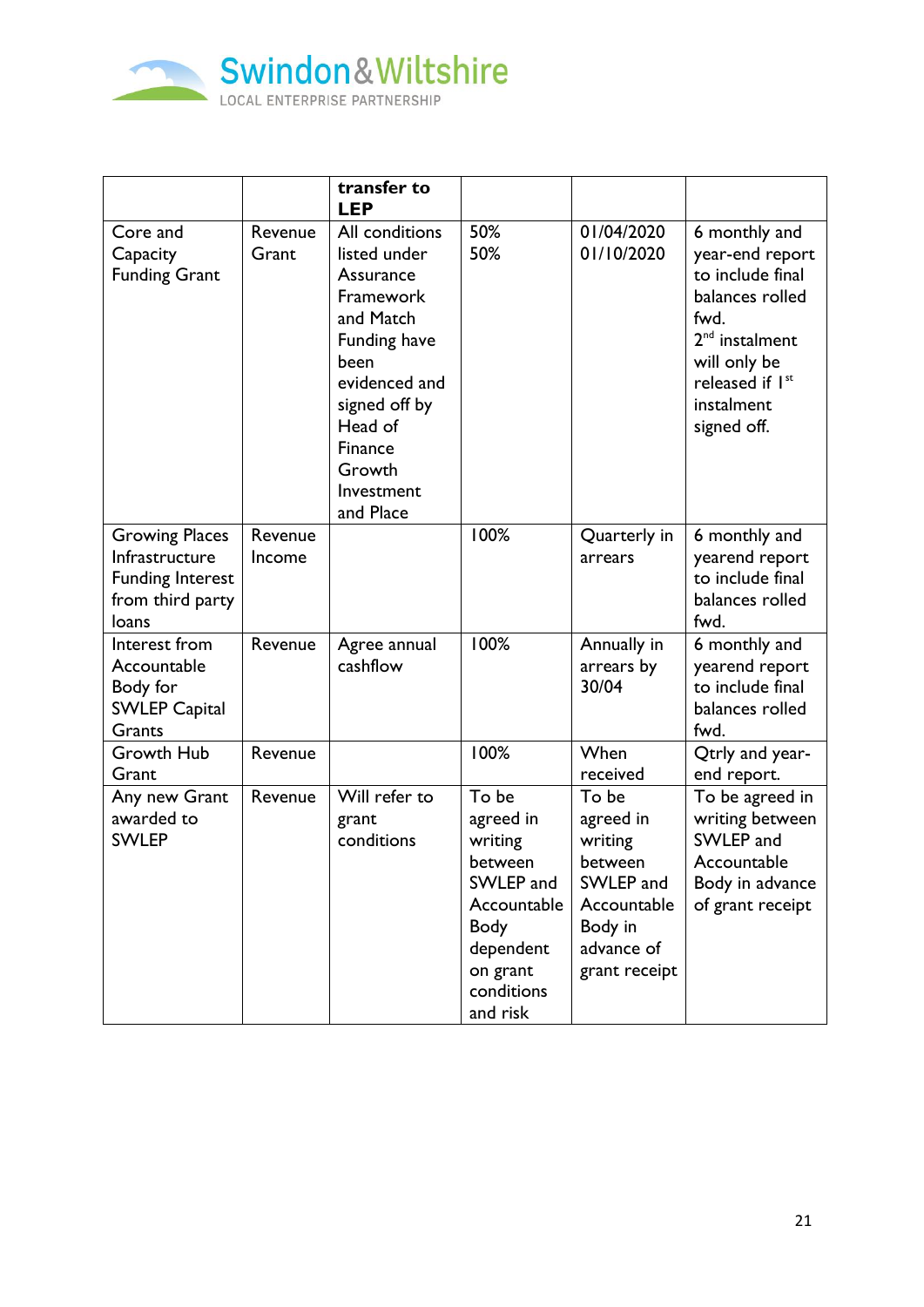

|                                                                                                 |                   | transfer to<br><b>LEP</b>                                                                                                                                                                  |                                                                                                                                 |                                                                                                                |                                                                                                                                                                               |
|-------------------------------------------------------------------------------------------------|-------------------|--------------------------------------------------------------------------------------------------------------------------------------------------------------------------------------------|---------------------------------------------------------------------------------------------------------------------------------|----------------------------------------------------------------------------------------------------------------|-------------------------------------------------------------------------------------------------------------------------------------------------------------------------------|
| Core and<br>Capacity<br><b>Funding Grant</b>                                                    | Revenue<br>Grant  | All conditions<br>listed under<br>Assurance<br>Framework<br>and Match<br>Funding have<br>been<br>evidenced and<br>signed off by<br>Head of<br>Finance<br>Growth<br>Investment<br>and Place | 50%<br>50%                                                                                                                      | 01/04/2020<br>01/10/2020                                                                                       | 6 monthly and<br>year-end report<br>to include final<br>balances rolled<br>fwd.<br>2 <sup>nd</sup> instalment<br>will only be<br>released if Ist<br>instalment<br>signed off. |
| <b>Growing Places</b><br>Infrastructure<br><b>Funding Interest</b><br>from third party<br>loans | Revenue<br>Income |                                                                                                                                                                                            | 100%                                                                                                                            | Quarterly in<br>arrears                                                                                        | 6 monthly and<br>yearend report<br>to include final<br>balances rolled<br>fwd.                                                                                                |
| Interest from<br>Accountable<br>Body for<br><b>SWLEP Capital</b><br>Grants                      | Revenue           | Agree annual<br>cashflow                                                                                                                                                                   | 100%                                                                                                                            | Annually in<br>arrears by<br>30/04                                                                             | 6 monthly and<br>yearend report<br>to include final<br>balances rolled<br>fwd.                                                                                                |
| Growth Hub<br>Grant                                                                             | Revenue           |                                                                                                                                                                                            | 100%                                                                                                                            | When<br>received                                                                                               | Qtrly and year-<br>end report.                                                                                                                                                |
| Any new Grant<br>awarded to<br><b>SWLEP</b>                                                     | Revenue           | Will refer to<br>grant<br>conditions                                                                                                                                                       | To be<br>agreed in<br>writing<br>between<br>SWLEP and<br>Accountable<br>Body<br>dependent<br>on grant<br>conditions<br>and risk | To be<br>agreed in<br>writing<br>between<br>SWLEP and<br>Accountable<br>Body in<br>advance of<br>grant receipt | To be agreed in<br>writing between<br>SWLEP and<br>Accountable<br>Body in advance<br>of grant receipt                                                                         |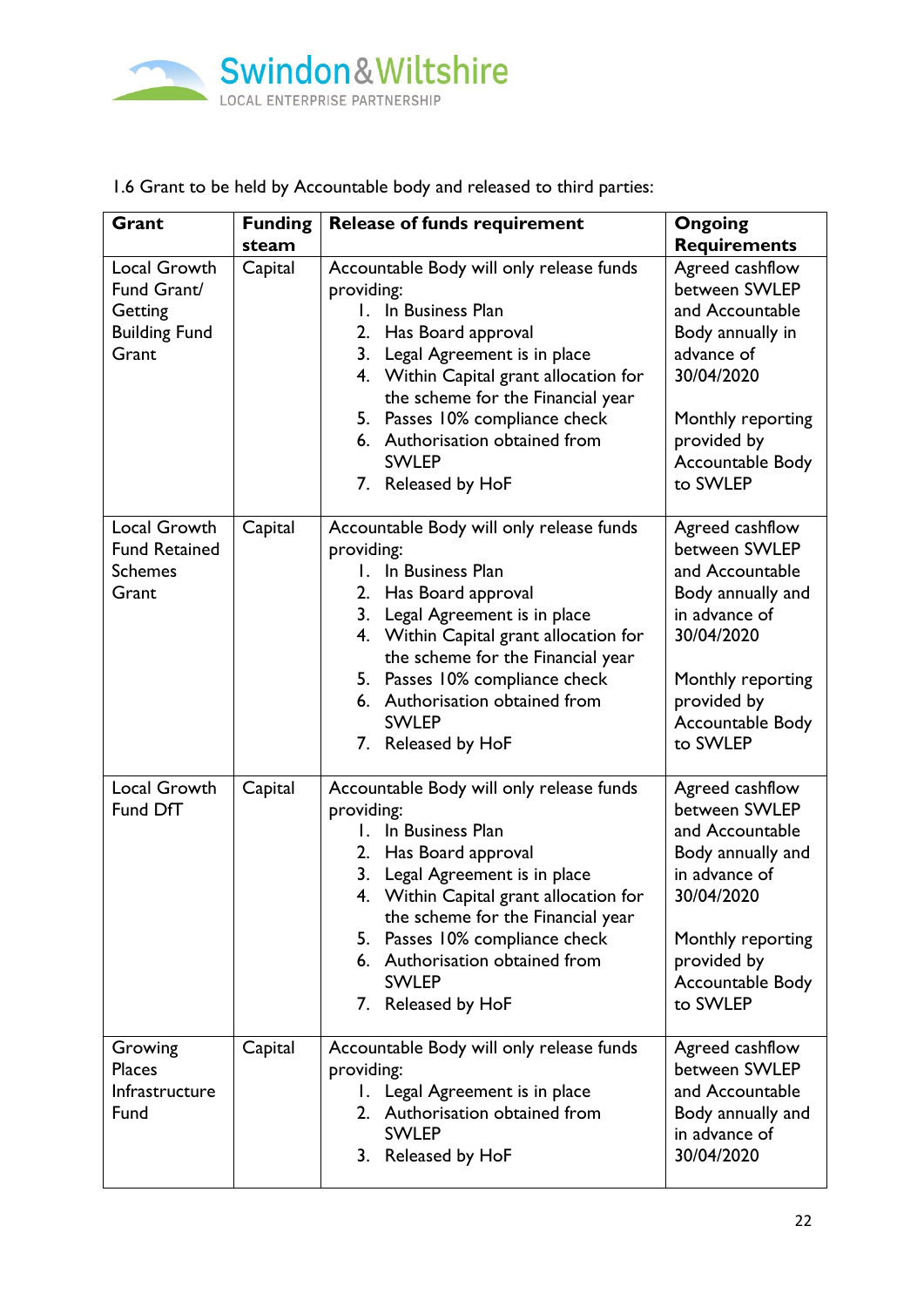

# 1.6 Grant to be held by Accountable body and released to third parties:

| Grant                                                                          | <b>Funding</b> | <b>Release of funds requirement</b>                                                                                                                                                                                                                                                                                                  | <b>Ongoing</b>                                                                                                                                                              |
|--------------------------------------------------------------------------------|----------------|--------------------------------------------------------------------------------------------------------------------------------------------------------------------------------------------------------------------------------------------------------------------------------------------------------------------------------------|-----------------------------------------------------------------------------------------------------------------------------------------------------------------------------|
|                                                                                | steam          |                                                                                                                                                                                                                                                                                                                                      | <b>Requirements</b>                                                                                                                                                         |
| <b>Local Growth</b><br>Fund Grant/<br>Getting<br><b>Building Fund</b><br>Grant | Capital        | Accountable Body will only release funds<br>providing:<br>In Business Plan<br>Has Board approval<br>2.<br>Legal Agreement is in place<br>3.<br>4. Within Capital grant allocation for<br>the scheme for the Financial year<br>5. Passes 10% compliance check<br>6. Authorisation obtained from<br><b>SWLEP</b><br>7. Released by HoF | Agreed cashflow<br>between SWLEP<br>and Accountable<br>Body annually in<br>advance of<br>30/04/2020<br>Monthly reporting<br>provided by<br>Accountable Body<br>to SWLEP     |
| Local Growth<br><b>Fund Retained</b><br><b>Schemes</b><br>Grant                | Capital        | Accountable Body will only release funds<br>providing:<br>In Business Plan<br>Has Board approval<br>2.<br>Legal Agreement is in place<br>3.<br>4. Within Capital grant allocation for<br>the scheme for the Financial year<br>5. Passes 10% compliance check<br>6. Authorisation obtained from<br><b>SWLEP</b><br>7. Released by HoF | Agreed cashflow<br>between SWLEP<br>and Accountable<br>Body annually and<br>in advance of<br>30/04/2020<br>Monthly reporting<br>provided by<br>Accountable Body<br>to SWLEP |
| <b>Local Growth</b><br>Fund DfT                                                | Capital        | Accountable Body will only release funds<br>providing:<br>In Business Plan<br>Has Board approval<br>2.<br>Legal Agreement is in place<br>3.<br>4. Within Capital grant allocation for<br>the scheme for the Financial year<br>5. Passes 10% compliance check<br>6. Authorisation obtained from<br><b>SWLEP</b><br>7. Released by HoF | Agreed cashflow<br>between SWLEP<br>and Accountable<br>Body annually and<br>in advance of<br>30/04/2020<br>Monthly reporting<br>provided by<br>Accountable Body<br>to SWLEP |
| Growing<br><b>Places</b><br>Infrastructure<br>Fund                             | Capital        | Accountable Body will only release funds<br>providing:<br>1. Legal Agreement is in place<br>2. Authorisation obtained from<br><b>SWLEP</b><br>3. Released by HoF                                                                                                                                                                     | Agreed cashflow<br>between SWLEP<br>and Accountable<br>Body annually and<br>in advance of<br>30/04/2020                                                                     |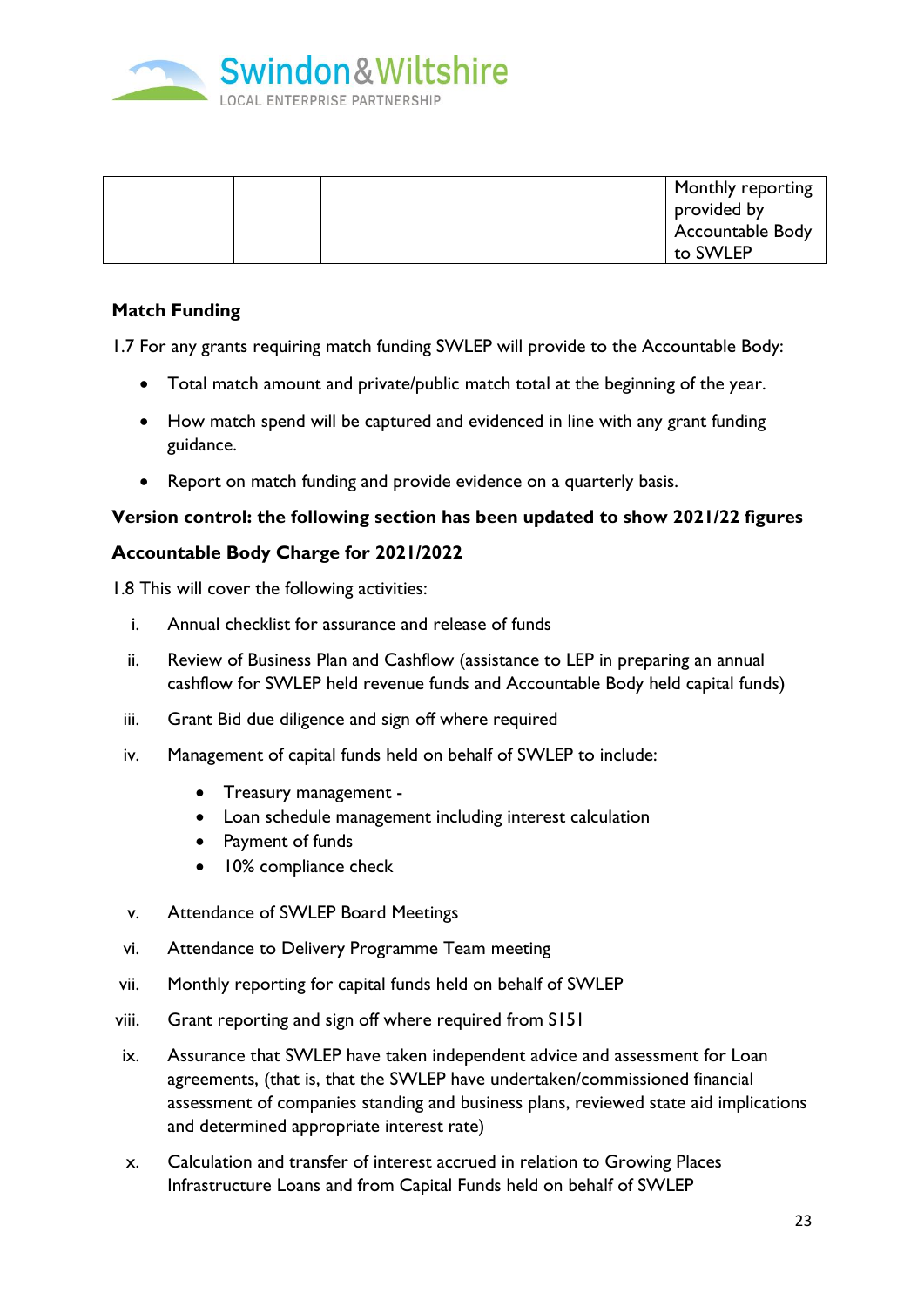

| Monthly reporting |
|-------------------|
| provided by       |
|                   |
| Accountable Body  |
| to SWLEP          |

## **Match Funding**

1.7 For any grants requiring match funding SWLEP will provide to the Accountable Body:

- Total match amount and private/public match total at the beginning of the year.
- How match spend will be captured and evidenced in line with any grant funding guidance.
- Report on match funding and provide evidence on a quarterly basis.

#### **Version control: the following section has been updated to show 2021/22 figures**

#### **Accountable Body Charge for 2021/2022**

1.8 This will cover the following activities:

- i. Annual checklist for assurance and release of funds
- ii. Review of Business Plan and Cashflow (assistance to LEP in preparing an annual cashflow for SWLEP held revenue funds and Accountable Body held capital funds)
- iii. Grant Bid due diligence and sign off where required
- iv. Management of capital funds held on behalf of SWLEP to include:
	- Treasury management -
	- Loan schedule management including interest calculation
	- Payment of funds
	- 10% compliance check
- v. Attendance of SWLEP Board Meetings
- vi. Attendance to Delivery Programme Team meeting
- vii. Monthly reporting for capital funds held on behalf of SWLEP
- viii. Grant reporting and sign off where required from S151
- ix. Assurance that SWLEP have taken independent advice and assessment for Loan agreements, (that is, that the SWLEP have undertaken/commissioned financial assessment of companies standing and business plans, reviewed state aid implications and determined appropriate interest rate)
- x. Calculation and transfer of interest accrued in relation to Growing Places Infrastructure Loans and from Capital Funds held on behalf of SWLEP